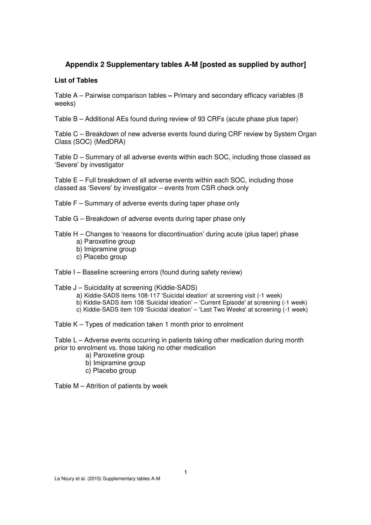## **Appendix 2 Supplementary tables A-M [posted as supplied by author]**

#### **List of Tables**

Table A – Pairwise comparison tables **–** Primary and secondary efficacy variables (8 weeks)

Table B – Additional AEs found during review of 93 CRFs (acute phase plus taper)

Table C – Breakdown of new adverse events found during CRF review by System Organ Class (SOC) (MedDRA)

Table D – Summary of all adverse events within each SOC, including those classed as 'Severe' by investigator

Table E – Full breakdown of all adverse events within each SOC, including those classed as 'Severe' by investigator – events from CSR check only

Table F – Summary of adverse events during taper phase only

Table G – Breakdown of adverse events during taper phase only

Table H – Changes to 'reasons for discontinuation' during acute (plus taper) phase

- a) Paroxetine group
- b) Imipramine group
- c) Placebo group

Table I – Baseline screening errors (found during safety review)

Table J – Suicidality at screening (Kiddie-SADS)

- a) Kiddie-SADS items 108-117 'Suicidal ideation' at screening visit (-1 week)
- b) Kiddie-SADS item 108 'Suicidal ideation' 'Current Episode' at screening (-1 week)
- c) Kiddie-SADS item 109 'Suicidal ideation' 'Last Two Weeks' at screening (-1 week)

Table K – Types of medication taken 1 month prior to enrolment

Table L – Adverse events occurring in patients taking other medication during month prior to enrolment vs. those taking no other medication

- a) Paroxetine group
- b) Imipramine group
- c) Placebo group

Table M – Attrition of patients by week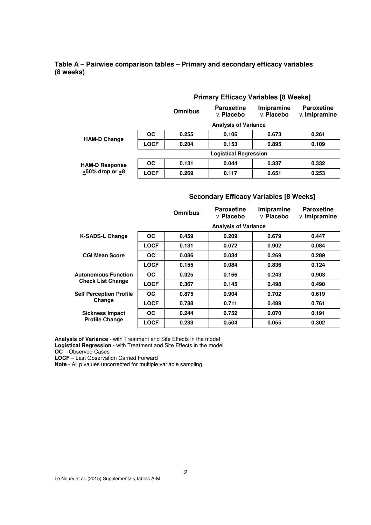#### **Table A – Pairwise comparison tables – Primary and secondary efficacy variables (8 weeks)**

|                             | <b>Primary Efficacy Variables [8 Weeks]</b> |                |                                 |                          |                                    |  |  |
|-----------------------------|---------------------------------------------|----------------|---------------------------------|--------------------------|------------------------------------|--|--|
|                             |                                             | <b>Omnibus</b> | <b>Paroxetine</b><br>v. Placebo | Imipramine<br>v. Placebo | <b>Paroxetine</b><br>v. Imipramine |  |  |
|                             |                                             |                | <b>Analysis of Variance</b>     |                          |                                    |  |  |
|                             | <b>OC</b>                                   | 0.255          | 0.106                           | 0.673                    | 0.261                              |  |  |
| <b>HAM-D Change</b>         | <b>LOCF</b>                                 | 0.204          | 0.153                           | 0.895                    | 0.109                              |  |  |
|                             |                                             |                | <b>Logistical Regression</b>    |                          |                                    |  |  |
| <b>HAM-D Response</b>       | <b>OC</b>                                   | 0.131          | 0.044                           | 0.337                    | 0.332                              |  |  |
| $\geq$ 50% drop or $\leq$ 8 | LOCF                                        | 0.269          | 0.117                           | 0.651                    | 0.253                              |  |  |

#### **Secondary Efficacy Variables [8 Weeks]**

|                                |             | <b>Omnibus</b> | <b>Paroxetine</b><br>v. Placebo | Imipramine<br>v. Placebo | <b>Paroxetine</b><br>v. Imipramine |
|--------------------------------|-------------|----------------|---------------------------------|--------------------------|------------------------------------|
|                                |             |                | <b>Analysis of Variance</b>     |                          |                                    |
| <b>K-SADS-L Change</b>         | OC.         | 0.459          | 0.209                           | 0.679                    | 0.447                              |
|                                | <b>LOCF</b> | 0.131          | 0.072                           | 0.902                    | 0.084                              |
| <b>CGI Mean Score</b>          | <b>OC</b>   | 0.086          | 0.034                           | 0.269                    | 0.289                              |
|                                | <b>LOCF</b> | 0.155          | 0.084                           | 0.836                    | 0.124                              |
| <b>Autonomous Function</b>     | OC.         | 0.325          | 0.166                           | 0.243                    | 0.903                              |
| <b>Check List Change</b>       | <b>LOCF</b> | 0.367          | 0.145                           | 0.498                    | 0.490                              |
| <b>Self Perception Profile</b> | <b>OC</b>   | 0.875          | 0.904                           | 0.702                    | 0.619                              |
| Change                         | <b>LOCF</b> | 0.788          | 0.711                           | 0.489                    | 0.761                              |
| <b>Sickness Impact</b>         | OC.         | 0.244          | 0.752                           | 0.070                    | 0.191                              |
| <b>Profile Change</b>          | <b>LOCF</b> | 0.233          | 0.504                           | 0.055                    | 0.302                              |

**Analysis of Variance** - with Treatment and Site Effects in the model **Logistical Regression** - with Treatment and Site Effects in the model

**OC** – Observed Cases

**LOCF** – Last Observation Carried Forward

**Note** - All p values uncorrected for multiple variable sampling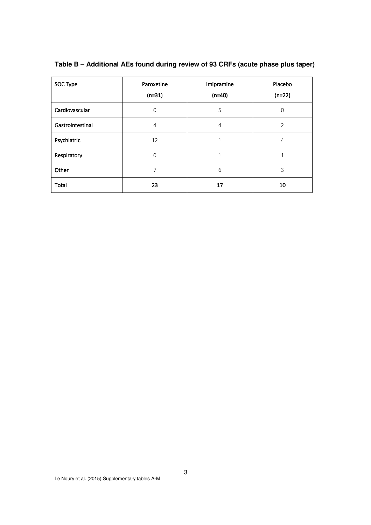| SOC Type         | Paroxetine<br>$(n=31)$ | Imipramine<br>$(n=40)$ | Placebo<br>$(n=22)$ |
|------------------|------------------------|------------------------|---------------------|
| Cardiovascular   | $\mathbf 0$            | 5                      | 0                   |
| Gastrointestinal | 4                      | 4                      | 2                   |
| Psychiatric      | 12                     | 1                      | 4                   |
| Respiratory      | $\mathbf 0$            |                        |                     |
| Other            | 7                      | 6                      | 3                   |
| Total            | 23                     | 17                     | 10                  |

**Table B – Additional AEs found during review of 93 CRFs (acute phase plus taper)**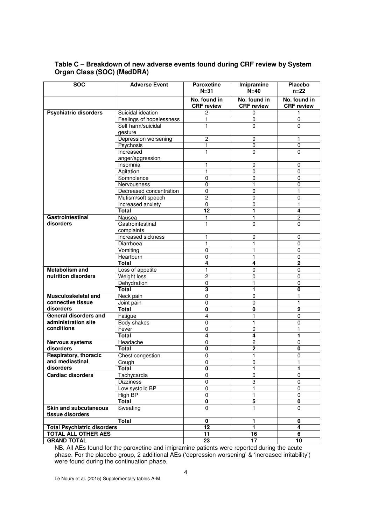| <b>SOC</b>                         | <b>Adverse Event</b>           | <b>Paroxetine</b><br>$N = 31$     | Imipramine<br>$N=40$              | Placebo<br>$n=22$                 |
|------------------------------------|--------------------------------|-----------------------------------|-----------------------------------|-----------------------------------|
|                                    |                                | No. found in<br><b>CRF</b> review | No. found in<br><b>CRF</b> review | No. found in<br><b>CRF</b> review |
| <b>Psychiatric disorders</b>       | Suicidal ideation              | $\overline{c}$                    | 0                                 | 1                                 |
|                                    | Feelings of hopelessness       | 1                                 | 0                                 | 0                                 |
|                                    | Self harm/suicidal             | 1                                 | $\mathbf 0$                       | $\mathbf 0$                       |
|                                    | gesture                        |                                   |                                   |                                   |
|                                    | Depression worsening           | $\overline{c}$                    | 0                                 | 1                                 |
|                                    | Psychosis                      | 1                                 | 0                                 | 0                                 |
|                                    | Increased                      | 1                                 | 0                                 | $\Omega$                          |
|                                    | anger/aggression               |                                   |                                   |                                   |
|                                    | Insomnia                       |                                   | 0                                 | $\mathbf 0$                       |
|                                    | Agitation                      |                                   | 0                                 | 0                                 |
|                                    | Somnolence                     | $\pmb{0}$                         | 0                                 | 0                                 |
|                                    | Nervousness                    | $\mathbf 0$                       | 1                                 | 0                                 |
|                                    | Decreased concentration        | 0                                 | 0                                 | 1                                 |
|                                    | Mutism/soft speech             | 2                                 | 0                                 | 0                                 |
|                                    | Increased anxiety              | $\pmb{0}$                         | 0                                 |                                   |
|                                    | Total                          | $\overline{12}$                   | 1                                 | 4                                 |
| Gastrointestinal                   | Nausea                         | 1                                 | 1                                 | $\overline{c}$                    |
| disorders                          | Gastrointestinal<br>complaints | 1                                 | $\mathbf 0$                       | $\mathbf 0$                       |
|                                    | Increased sickness             |                                   | 0                                 | 0                                 |
|                                    | Diarrhoea                      | 1                                 | 1                                 | $\mathbf 0$                       |
|                                    | Vomiting                       | 0                                 | 1                                 | 0                                 |
|                                    | Heartburn                      | 0                                 | 1                                 | 0                                 |
|                                    | Total                          | 4                                 | 4                                 | $\mathbf 2$                       |
| <b>Metabolism and</b>              | Loss of appetite               | $\mathbf{1}$                      | $\mathbf 0$                       | 0                                 |
| nutrition disorders                | <b>Weight loss</b>             | $\overline{2}$                    | 0                                 | $\mathbf 0$                       |
|                                    | Dehydration                    | 0                                 | 1                                 | 0                                 |
|                                    | Total                          | $\overline{\mathbf{3}}$           | 1                                 | 0                                 |
| Musculoskeletal and                | Neck pain                      | $\mathbf 0$                       | 0                                 | 1                                 |
| connective tissue                  | Joint pain                     | $\mathbf 0$                       | 0                                 | 1                                 |
| disorders                          | <b>Total</b>                   | 0                                 | 0                                 | 2                                 |
| General disorders and              | Fatigue                        | $\overline{4}$                    | 1                                 | 0                                 |
| administration site                | Body shakes                    | $\mathbf 0$                       | 1                                 | 0                                 |
| conditions                         | Fever                          | $\mathbf 0$                       | 0                                 | 1                                 |
|                                    | <b>Total</b>                   | 4                                 | 4                                 | 1                                 |
| <b>Nervous systems</b>             | Headache                       | 0                                 | 2                                 | 0                                 |
| disorders                          | Total                          | $\overline{\mathbf{0}}$           | $\overline{2}$                    | 0                                 |
| Respiratory, thoracic              | Chest congestion               | $\mathbf 0$                       | 1                                 | $\mathbf{0}$                      |
| and mediastinal                    | Cough                          | 0                                 | 0                                 | 1                                 |
| disorders                          | <b>Total</b>                   | $\overline{\mathbf{0}}$           | 1                                 | 1                                 |
| <b>Cardiac disorders</b>           | Tachycardia                    | $\mathbf 0$                       | 0                                 | 0                                 |
|                                    | <b>Dizziness</b>               | $\overline{0}$                    | 3                                 | $\pmb{0}$                         |
|                                    | Low systolic BP                | 0                                 | 1                                 | 0                                 |
|                                    | <b>High BP</b>                 | $\pmb{0}$                         | 1                                 | 0                                 |
|                                    | Total                          | 0                                 | 5                                 | 0                                 |
| <b>Skin and subcutaneous</b>       | Sweating                       | $\mathbf 0$                       | 1                                 | $\mathbf 0$                       |
| tissue disorders                   |                                |                                   |                                   |                                   |
|                                    | <b>Total</b>                   | $\overline{\mathbf{0}}$           | 1                                 | 0                                 |
| <b>Total Psychiatric disorders</b> |                                | 12                                | 1                                 | 4                                 |
| TOTAL ALL OTHER AES                |                                | 11                                | 16                                | 6                                 |
| <b>GRAND TOTAL</b>                 |                                | 23                                | 17                                | 10                                |

### **Table C – Breakdown of new adverse events found during CRF review by System Organ Class (SOC) (MedDRA)**

NB. All AEs found for the paroxetine and imipramine patients were reported during the acute phase. For the placebo group, 2 additional AEs ('depression worsening' & 'increased irritability') were found during the continuation phase.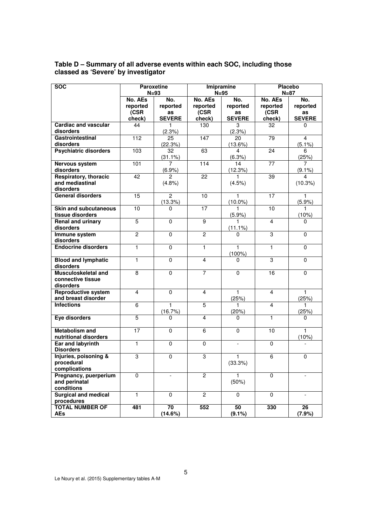| <b>SOC</b>                                                   | <b>Paroxetine</b><br>$N=93$           |                                        |                                       | Imipramine<br>$N = 95$                 | <b>Placebo</b><br>$N=87$              |                                        |
|--------------------------------------------------------------|---------------------------------------|----------------------------------------|---------------------------------------|----------------------------------------|---------------------------------------|----------------------------------------|
|                                                              | No. AEs<br>reported<br>(CSR<br>check) | No.<br>reported<br>as<br><b>SEVERE</b> | No. AEs<br>reported<br>(CSR<br>check) | No.<br>reported<br>as<br><b>SEVERE</b> | No. AEs<br>reported<br>(CSR<br>check) | No.<br>reported<br>as<br><b>SEVERE</b> |
| <b>Cardiac and vascular</b><br>disorders                     | 44                                    | 1<br>(2.3%)                            | 130                                   | 3<br>(2.3%)                            | 32                                    | 0                                      |
| <b>Gastrointestinal</b><br>disorders                         | 112                                   | 25<br>(22.3%)                          | 147                                   | 20<br>(13.6%)                          | 79                                    | $\overline{\mathbf{4}}$<br>$(5.1\%)$   |
| <b>Psychiatric disorders</b>                                 | 103                                   | 32<br>$(31.1\%)$                       | 63                                    | 4<br>(6.3%)                            | 24                                    | 6<br>(25%)                             |
| <b>Nervous system</b><br>disorders                           | 101                                   | 7<br>(6.9%                             | 114                                   | 14<br>(12.3%)                          | 77                                    | 7<br>$(9.1\%)$                         |
| <b>Respiratory, thoracic</b><br>and mediastinal<br>disorders | 42                                    | $\mathcal{P}$<br>(4.8%)                | 22                                    | 1<br>(4.5%)                            | 39                                    | 4<br>(10.3%)                           |
| <b>General disorders</b>                                     | 15                                    | $\overline{2}$<br>(13.3%)              | 10                                    | 1<br>$(10.0\%)$                        | 17                                    | 1<br>(5.9%)                            |
| <b>Skin and subcutaneous</b><br>tissue disorders             | 10                                    | 0                                      | 17                                    | 1<br>(5.9%)                            | 10                                    | 1.<br>(10%)                            |
| <b>Renal and urinary</b><br>disorders                        | $\overline{5}$                        | $\mathbf{0}$                           | 9                                     | 1<br>$(11.1\%)$                        | $\overline{4}$                        | 0                                      |
| Immune system<br>disorders                                   | $\overline{c}$                        | 0                                      | 2                                     | 0                                      | 3                                     | $\mathbf 0$                            |
| <b>Endocrine disorders</b>                                   | $\mathbf{1}$                          | $\mathbf 0$                            | $\mathbf{1}$                          | $\mathbf{1}$<br>$(100\%)$              | 1                                     | $\mathbf 0$                            |
| <b>Blood and lymphatic</b><br>disorders                      | 1                                     | 0                                      | $\overline{4}$                        | 0                                      | 3                                     | 0                                      |
| Musculoskeletal and<br>connective tissue<br>disorders        | 8                                     | 0                                      | $\overline{7}$                        | 0                                      | 16                                    | $\Omega$                               |
| <b>Reproductive system</b><br>and breast disorder            | $\overline{4}$                        | 0                                      | $\overline{4}$                        | $\mathbf{1}$<br>(25%)                  | 4                                     | 1<br>(25%)                             |
| <b>Infections</b>                                            | 6                                     | 1<br>(16.7%)                           | $\overline{5}$                        | 1<br>(20%)                             | 4                                     | 1<br>(25%)                             |
| Eye disorders                                                | $\overline{5}$                        | 0                                      | 4                                     | U                                      | 1                                     | 0                                      |
| <b>Metabolism and</b><br>nutritional disorders               | 17                                    | $\mathbf 0$                            | 6                                     | 0                                      | 10                                    | 1<br>(10%)                             |
| <b>Ear and labyrinth</b><br><b>Disorders</b>                 | $\mathbf{1}$                          | $\mathbf 0$                            | $\mathbf 0$                           | $\overline{a}$                         | $\mathbf 0$                           |                                        |
| Injuries, poisoning &<br>procedural<br>complications         | 3                                     | $\mathbf 0$                            | 3                                     | 1<br>(33.3%)                           | 6                                     | 0                                      |
| Pregnancy, puerperium<br>and perinatal<br>conditions         | 0                                     | $\overline{\phantom{0}}$               | $\overline{c}$                        | 1.<br>(50%)                            | $\mathbf 0$                           |                                        |
| <b>Surgical and medical</b><br>procedures                    | $\mathbf{1}$                          | $\mathbf 0$                            | $\overline{2}$                        | 0                                      | $\mathbf 0$                           | $\overline{\phantom{a}}$               |
| <b>TOTAL NUMBER OF</b><br>AEs                                | 481                                   | 70<br>(14.6%)                          | 552                                   | 50<br>(9.1%)                           | 330                                   | 26<br>(7.9%)                           |

#### **Table D – Summary of all adverse events within each SOC, including those classed as 'Severe' by investigator**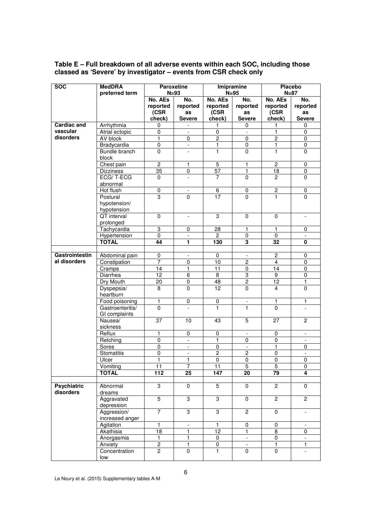| <b>SOC</b>         | <b>MedDRA</b>                  | <b>Paroxetine</b> |                          | Imipramine          |                                          | <b>Placebo</b>  |                              |
|--------------------|--------------------------------|-------------------|--------------------------|---------------------|------------------------------------------|-----------------|------------------------------|
|                    | preferred term                 |                   | $N = 93$                 | $N=95$              |                                          |                 | $N=87$                       |
|                    |                                | No. AEs           | No.                      | No. AEs             | No.                                      | No. AEs         | No.                          |
|                    |                                | reported          | reported                 | reported            | reported                                 | reported        | reported                     |
|                    |                                | (CSR              | as                       | (CSR                | as                                       | (CSR            | as                           |
|                    |                                | check)            | <b>Severe</b>            | check)              | <b>Severe</b>                            | check)          | <b>Severe</b>                |
| <b>Cardiac and</b> | Arrhythmia                     | 0                 | $\overline{\phantom{0}}$ | 1                   | 0                                        | 1               | 0                            |
| vascular           | Atrial ectopic                 | 0                 |                          | 0                   |                                          | 1               | $\mathbf 0$                  |
| disorders          | AV block                       | $\mathbf{1}$      | $\overline{0}$           | $\overline{2}$      | $\overline{0}$                           | $\overline{2}$  | $\pmb{0}$                    |
|                    | Bradycardia                    | $\pmb{0}$         | $\blacksquare$           | 1                   | 0                                        | $\mathbf{1}$    | $\pmb{0}$                    |
|                    | <b>Bundle</b> branch           | $\mathbf 0$       | $\overline{a}$           | 1                   | 0                                        | $\mathbf{1}$    | $\mathbf 0$                  |
|                    | block                          |                   |                          |                     |                                          |                 |                              |
|                    | Chest pain                     | $\overline{2}$    | $\mathbf{1}$             | $\overline{5}$      | $\mathbf{1}$                             | $\overline{2}$  | $\pmb{0}$                    |
|                    | <b>Dizziness</b>               | 35                | 0                        | 57                  | 1                                        | 18              | $\pmb{0}$                    |
|                    | ECG/T-ECG                      | $\Omega$          | $\overline{\phantom{a}}$ | 7                   | 0                                        | $\overline{c}$  | $\Omega$                     |
|                    | abnormal                       |                   |                          |                     |                                          |                 |                              |
|                    | Hot flush                      | $\overline{0}$    | $\overline{\phantom{a}}$ | $\overline{6}$      | $\overline{0}$                           | $\overline{2}$  | $\pmb{0}$                    |
|                    | Postural                       | 3                 | $\mathbf{0}$             | 17                  | 0                                        | 1               | $\mathbf{0}$                 |
|                    | hypotension/                   |                   |                          |                     |                                          |                 |                              |
|                    | hypotension                    |                   |                          |                     |                                          |                 |                              |
|                    | <b>QT</b> interval             | $\mathbf 0$       | $\frac{1}{2}$            | $\overline{3}$      | $\overline{0}$                           | $\mathbf 0$     | $\overline{\phantom{a}}$     |
|                    | prolonged                      |                   |                          |                     |                                          |                 |                              |
|                    | Tachycardia                    | 3                 | 0                        | 28                  | 1                                        | 1               | 0                            |
|                    | Hypertension                   | $\overline{0}$    | $\blacksquare$           | $\mathbf{2}$        | $\overline{0}$                           | $\mathbf 0$     | $\bar{\phantom{a}}$          |
|                    | <b>TOTAL</b>                   | 44                | 1                        | 130                 | 3                                        | 32              | 0                            |
|                    |                                |                   |                          |                     |                                          |                 |                              |
| Gastrointestin     | Abdominal pain                 | $\overline{0}$    |                          | 0                   | $\overline{\phantom{a}}$                 | $\overline{2}$  | $\mathbf 0$                  |
| al disorders       | Constipation                   | $\overline{7}$    | $\pmb{0}$                | 10                  | $\overline{c}$                           | $\overline{4}$  | $\pmb{0}$                    |
|                    | Cramps                         | $\overline{14}$   | $\mathbf{1}$             | $\overline{11}$     | 0                                        | 14              | $\overline{0}$               |
|                    | Diarrhea                       | $\overline{12}$   | 6                        | 8                   | 3                                        | 9               | $\pmb{0}$                    |
|                    | Dry Mouth                      | $\overline{20}$   | $\overline{0}$           | $\overline{48}$     | $\overline{2}$                           | $\overline{12}$ | 1                            |
|                    | Dyspepsia/                     | 8                 | 0                        | 12                  | 0                                        | 4               | $\mathbf 0$                  |
|                    | heartburn                      |                   |                          |                     |                                          |                 |                              |
|                    | Food poisoning                 | 1                 | 0                        | $\pmb{0}$           | $\Box$                                   | $\mathbf{1}$    | 1                            |
|                    | Gastroenteritis/               | $\overline{0}$    | $\overline{a}$           | $\overline{1}$      | $\mathbf{1}$                             | $\overline{0}$  | $\overline{a}$               |
|                    | GI complaints                  |                   |                          |                     |                                          |                 |                              |
|                    | Nausea/                        | $\overline{37}$   | 10                       | 43                  | 5                                        | $\overline{27}$ | $\mathbf{2}$                 |
|                    | sickness                       |                   |                          |                     |                                          |                 |                              |
|                    | Reflux                         | 1                 | $\overline{0}$           | 0                   | $\overline{\phantom{a}}$                 | $\pmb{0}$       |                              |
|                    | Retching                       | $\overline{0}$    | $\blacksquare$           | 1                   | $\overline{0}$                           | $\overline{0}$  | $\overline{\phantom{a}}$     |
|                    | Sores                          | 0                 | $\overline{\phantom{a}}$ |                     | $\overline{\phantom{a}}$                 | 1               | 0                            |
|                    | Stomatitis                     | $\overline{0}$    | $\overline{\phantom{a}}$ | 0<br>$\overline{2}$ | $\overline{2}$                           | $\overline{0}$  | $\overline{\phantom{a}}$     |
|                    | Ulcer                          | 1                 | 1                        | 0                   | 0                                        | $\mathbf 0$     | $\mathbf 0$                  |
|                    |                                |                   | 7                        |                     |                                          | 5               |                              |
|                    | Vomiting<br><b>TOTAL</b>       | 11<br>112         | $\overline{25}$          | 11<br>147           | 5<br>20                                  | $\overline{79}$ | 0<br>$\overline{\mathbf{4}}$ |
|                    |                                |                   |                          |                     |                                          |                 |                              |
| <b>Psychiatric</b> |                                | 3                 | 0                        | $\overline{5}$      | 0                                        | $\overline{c}$  | $\mathbf 0$                  |
| disorders          | Abnormal<br>dreams             |                   |                          |                     |                                          |                 |                              |
|                    | Aggravated                     | $\overline{5}$    | 3                        | $\overline{3}$      | $\overline{0}$                           | $\overline{2}$  | $\overline{2}$               |
|                    |                                |                   |                          |                     |                                          |                 |                              |
|                    | depression                     | $\overline{7}$    | 3                        | 3                   | $\overline{c}$                           |                 | $\overline{\phantom{a}}$     |
|                    | Aggression/<br>increased anger |                   |                          |                     |                                          | $\pmb{0}$       |                              |
|                    |                                | 1                 |                          | 1                   |                                          |                 |                              |
|                    | Agitation                      |                   | -                        |                     | $\pmb{0}$                                | $\pmb{0}$       |                              |
|                    | Akathisia                      | $\overline{18}$   | 1                        | $\overline{12}$     | $\mathbf{1}$<br>$\overline{\phantom{a}}$ | $\overline{8}$  | $\mathbf 0$                  |
|                    | Anorgasmia                     | $\mathbf{1}$      | $\mathbf{1}$             | 0                   |                                          | $\pmb{0}$       |                              |
|                    | Anxiety                        | $\overline{2}$    | 1                        | 0                   | $\overline{\phantom{a}}$                 | $\mathbf{1}$    | 1                            |
|                    | Concentration                  | $\mathbf{2}$      | $\mathbf 0$              | 1.                  | 0                                        | 0               | $\overline{\phantom{a}}$     |
|                    | low                            |                   |                          |                     |                                          |                 |                              |

#### **Table E – Full breakdown of all adverse events within each SOC, including those classed as 'Severe' by investigator – events from CSR check only**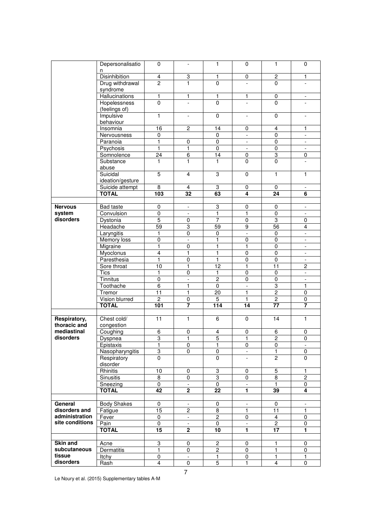|                        | Depersonalisatio                           | 0                       | $\overline{\phantom{a}}$  | $\mathbf{1}$                     | 0                              | 1                              | $\mathbf 0$                                |
|------------------------|--------------------------------------------|-------------------------|---------------------------|----------------------------------|--------------------------------|--------------------------------|--------------------------------------------|
|                        | n<br><b>Disinhibition</b>                  | $\overline{4}$          | $\ensuremath{\mathsf{3}}$ | 1                                | $\pmb{0}$                      | $\boldsymbol{2}$               | $\mathbf{1}$                               |
|                        | Drug withdrawal                            | $\overline{2}$          | 1                         | $\pmb{0}$                        | $\overline{\phantom{0}}$       | $\mathbf 0$                    | $\overline{\phantom{0}}$                   |
|                        | syndrome                                   |                         |                           |                                  |                                |                                |                                            |
|                        | <b>Hallucinations</b>                      | 1                       | 1                         | 1                                | 1                              | $\mathbf 0$                    | $\overline{\phantom{0}}$                   |
|                        | <b>Hopelessness</b>                        | 0                       | $\overline{a}$            | $\overline{0}$                   | $\frac{1}{2}$                  | $\mathbf{0}$                   | $\overline{\phantom{0}}$                   |
|                        | (feelings of)                              |                         |                           |                                  |                                |                                |                                            |
|                        | Impulsive                                  | 1                       | $\frac{1}{2}$             | $\overline{0}$                   | $\overline{\phantom{a}}$       | $\mathbf 0$                    | $\overline{\phantom{a}}$                   |
|                        | behaviour                                  |                         |                           |                                  |                                |                                |                                            |
|                        | Insomnia                                   | $\overline{16}$         | $\overline{2}$            | 14                               | $\mathbf 0$                    | $\overline{4}$                 | 1                                          |
|                        | Nervousness                                | 0                       |                           | 0                                | $\overline{\phantom{a}}$       | 0                              | $\overline{\phantom{a}}$                   |
|                        | Paranoia                                   | 1                       | $\pmb{0}$                 | $\mathbf 0$                      | $\overline{\phantom{a}}$       | $\mathbf 0$                    | $\overline{\phantom{a}}$                   |
|                        | Psychosis                                  | 1                       | $\mathbf{1}$              | $\mathbf 0$                      | $\overline{\phantom{a}}$       | $\mathbf 0$                    | $\overline{\phantom{a}}$                   |
|                        | Somnolence                                 | 24                      | $\overline{6}$<br>1       | 14                               | $\overline{0}$<br>$\mathbf{0}$ | $\overline{3}$<br>$\mathbf{0}$ | $\overline{0}$                             |
|                        | Substance<br>abuse                         | 1                       |                           | 1                                |                                |                                |                                            |
|                        | Suicidal                                   | 5                       | $\overline{\mathbf{4}}$   | 3                                | $\mathbf 0$                    | $\mathbf{1}$                   | $\mathbf{1}$                               |
|                        | ideation/gesture                           |                         |                           |                                  |                                |                                |                                            |
|                        | Suicide attempt                            | $\overline{\mathbf{8}}$ | $\overline{4}$            | $\overline{3}$                   | 0                              | $\pmb{0}$                      | $\overline{\phantom{a}}$                   |
|                        | <b>TOTAL</b>                               | 103                     | 32                        | 63                               | 4                              | 24                             | 6                                          |
|                        |                                            |                         |                           |                                  |                                |                                |                                            |
| <b>Nervous</b>         | Bad taste                                  | 0                       | $\overline{\phantom{a}}$  | 3                                | 0                              | $\pmb{0}$                      | $\overline{\phantom{a}}$                   |
| system                 | Convulsion                                 | 0                       | $\overline{\phantom{a}}$  | 1                                | $\mathbf{1}$                   | $\pmb{0}$                      | $\overline{\phantom{a}}$                   |
| disorders              | Dystonia                                   | $\overline{5}$          | $\overline{0}$            | $\overline{7}$                   | $\overline{0}$                 | $\overline{3}$                 | $\pmb{0}$                                  |
|                        | Headache                                   | 59                      | $\overline{3}$            | 59                               | $\overline{9}$                 | $\overline{56}$                | $\overline{\mathbf{4}}$                    |
|                        | Laryngitis                                 | 1                       | $\overline{0}$            | $\overline{0}$                   | $\overline{\phantom{a}}$       | $\pmb{0}$                      | $\overline{\phantom{a}}$                   |
|                        | Memory loss                                | 0                       | $\overline{\phantom{0}}$  | 1                                | $\pmb{0}$                      | $\mathbf 0$                    | $\overline{\phantom{a}}$                   |
|                        | Migraine                                   | 1                       | $\pmb{0}$                 | 1                                | $\mathbf{1}$                   | $\pmb{0}$                      | $\overline{\phantom{a}}$                   |
|                        | Myoclonus                                  | 4                       | 1                         | 1                                | $\pmb{0}$                      | $\mathbf 0$                    | $\overline{\phantom{m}}$                   |
|                        | Paresthesia<br>Sore throat                 | 1<br>$\overline{10}$    | $\pmb{0}$<br>1            | 1<br>$\overline{12}$             | $\pmb{0}$<br>1                 | $\mathbf 0$<br>11              | $\overline{\phantom{a}}$<br>$\overline{c}$ |
|                        | <b>Tics</b>                                | 1                       | $\pmb{0}$                 | 1                                | $\pmb{0}$                      | $\pmb{0}$                      | $\blacksquare$                             |
|                        | Tinnitus                                   | 0                       | $\overline{a}$            | $\overline{2}$                   | $\pmb{0}$                      | $\overline{0}$                 |                                            |
|                        | Toothache                                  | $\overline{6}$          | $\mathbf{1}$              | $\overline{0}$                   | $\overline{\phantom{a}}$       | 3                              | $\mathbf{1}$                               |
|                        | Tremor                                     | 11                      | 1                         | 20                               | 1                              | $\overline{c}$                 | $\pmb{0}$                                  |
|                        | Vision blurred                             | $\overline{2}$          | $\overline{0}$            | $\overline{5}$                   | 1                              | $\overline{2}$                 | $\pmb{0}$                                  |
|                        | <b>TOTAL</b>                               | 101                     | $\overline{\mathbf{z}}$   | 114                              | 14                             | $\overline{77}$                | $\overline{7}$                             |
|                        |                                            |                         |                           |                                  |                                |                                |                                            |
| Respiratory,           | Chest cold/                                | 11                      | 1                         | 6                                | 0                              | 14                             | 1                                          |
| thoracic and           | congestion                                 |                         |                           |                                  |                                |                                |                                            |
| mediastinal            | Coughing                                   | 6                       | $\pmb{0}$                 | 4                                | $\pmb{0}$                      | 6                              | $\pmb{0}$                                  |
| disorders              | Dyspnea                                    | 3                       | 1                         | $\overline{5}$                   | 1                              | $\overline{2}$                 | $\overline{0}$                             |
|                        | Epistaxis<br>Nasopharyngitis               | 1                       | 0                         | 1                                | 0<br>$\blacksquare$            | 0                              | $\blacksquare$                             |
|                        | Respiratory                                | 3<br>$\Omega$           | 0                         | 0<br>0                           |                                | 1<br>$\overline{2}$            | 0<br>$\Omega$                              |
|                        | disorder                                   |                         |                           |                                  |                                |                                |                                            |
|                        | Rhinitis                                   | 10                      | 0                         | 3                                | 0                              | 5                              | 1                                          |
|                        | Sinusitis                                  | 8                       | $\pmb{0}$                 | $\overline{3}$                   | 0                              | $\overline{8}$                 | $\overline{2}$                             |
|                        | Sneezing                                   | 0                       |                           | $\pmb{0}$                        |                                | 1                              | $\pmb{0}$                                  |
|                        | <b>TOTAL</b>                               | 42                      | $\overline{2}$            | $\overline{22}$                  | 1                              | 39                             | 4                                          |
|                        |                                            |                         |                           |                                  |                                |                                |                                            |
| General                | <b>Body Shakes</b>                         | 0                       | $\overline{\phantom{a}}$  | $\pmb{0}$                        | $\overline{\phantom{a}}$       | 0                              | $\overline{\phantom{a}}$                   |
| disorders and          | Fatigue                                    | $\overline{15}$         | $\overline{2}$            | $\overline{8}$                   | 1                              | 11                             | 1                                          |
| administration         | Fever                                      | $\pmb{0}$               | ÷.                        | $\overline{c}$                   | 0                              | $\overline{4}$                 | $\pmb{0}$                                  |
| site conditions        | Pain                                       | 0                       | $\blacksquare$            | 0                                | $\overline{\phantom{a}}$       | $\overline{c}$                 | 0                                          |
|                        | <b>TOTAL</b>                               | 15                      | $\mathbf 2$               | 10                               | 1                              | 17                             | 1                                          |
|                        |                                            |                         |                           |                                  |                                |                                |                                            |
| <b>Skin and</b>        | Acne                                       | 3                       | $\overline{0}$            | $\overline{2}$<br>$\overline{2}$ | 0                              | 1                              | $\pmb{0}$                                  |
| subcutaneous<br>tissue | Dermatitis<br>$\overline{\mathsf{It}}$ chy | 1<br>0                  | $\overline{0}$            | $\mathbf{1}$                     | 0                              | 1<br>1                         | $\pmb{0}$<br>$\mathbf{1}$                  |
| disorders              | Rash                                       | 4                       | -<br>0                    | $\overline{5}$                   | 0<br>$\mathbf{1}$              | 4                              | 0                                          |
|                        |                                            |                         |                           |                                  |                                |                                |                                            |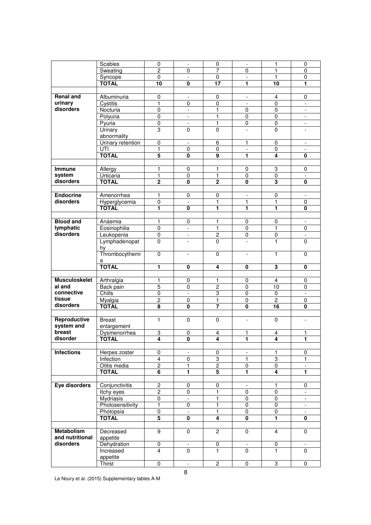|                      | Scabies                   | 0                       | $\overline{\phantom{a}}$ | 0                       | $\overline{\phantom{a}}$ | $\mathbf{1}$            | $\pmb{0}$                |
|----------------------|---------------------------|-------------------------|--------------------------|-------------------------|--------------------------|-------------------------|--------------------------|
|                      | Sweating                  | $\overline{2}$          | 0                        | 7                       | $\mathbf 0$              | $\mathbf{1}$            | $\mathbf 0$              |
|                      | Syncope                   | $\mathbf 0$             | $\overline{a}$           | $\mathbf 0$             | $\overline{\phantom{a}}$ | 1                       | $\mathbf 0$              |
|                      | <b>TOTAL</b>              | 10                      | 0                        | $\overline{17}$         | 1                        | 10                      | 1                        |
|                      |                           |                         |                          |                         |                          |                         |                          |
|                      |                           |                         |                          |                         |                          |                         |                          |
| <b>Renal and</b>     | Albuminuria               | 0                       | $\frac{1}{2}$            | 0                       | $\overline{\phantom{a}}$ | $\overline{4}$          | $\pmb{0}$                |
| urinary              | Cystitis                  | 1                       | $\mathbf 0$              | $\mathbf 0$             |                          | $\mathbf 0$             |                          |
| disorders            | Nocturia                  | $\pmb{0}$               | $\blacksquare$           | 1                       | $\mathbf 0$              | $\mathbf 0$             | $\overline{\phantom{a}}$ |
|                      | Polyuria                  | 0                       | $\overline{\phantom{a}}$ | 1                       | $\mathbf 0$              | $\mathbf 0$             | $\overline{\phantom{a}}$ |
|                      |                           | $\overline{0}$          |                          |                         | $\overline{0}$           | $\overline{0}$          |                          |
|                      | Pyuria                    |                         | $\blacksquare$           | $\mathbf{1}$            |                          |                         | $\overline{\phantom{a}}$ |
|                      | <b>Urinary</b>            | 3                       | $\mathbf{0}$             | $\mathbf 0$             | $\overline{\phantom{0}}$ | $\Omega$                |                          |
|                      | abnormality               |                         |                          |                         |                          |                         |                          |
|                      | Urinary retention         | 0                       | $\blacksquare$           | 6                       | 1                        | $\mathbf 0$             | $\overline{\phantom{a}}$ |
|                      | UTI                       | 1                       | $\pmb{0}$                | $\pmb{0}$               | $\blacksquare$           | $\mathbf 0$             | $\overline{\phantom{a}}$ |
|                      | <b>TOTAL</b>              | 5                       | 0                        | 9                       | 1                        | 4                       | 0                        |
|                      |                           |                         |                          |                         |                          |                         |                          |
|                      |                           |                         |                          |                         |                          |                         |                          |
| <b>Immune</b>        | Allergy                   | 1                       | 0                        | 1                       | 0                        | 3                       | $\mathbf 0$              |
| system               | Urticaria                 | 1                       | $\overline{0}$           | $\mathbf{1}$            | $\mathbf 0$              | $\overline{0}$          | $\overline{\phantom{a}}$ |
| disorders            | <b>TOTAL</b>              | $\overline{2}$          | $\mathbf{0}$             | $\overline{2}$          | $\mathbf{0}$             | $\overline{\mathbf{3}}$ | $\mathbf 0$              |
|                      |                           |                         |                          |                         |                          |                         |                          |
|                      |                           |                         |                          |                         |                          |                         |                          |
| <b>Endocrine</b>     | Amenorrhea                | 1                       | 0                        | 0                       | $\overline{\phantom{a}}$ | 0                       | $\overline{\phantom{a}}$ |
| disorders            | Hyperglycemia             | $\pmb{0}$               | $\overline{a}$           | 1                       | 1                        | $\mathbf{1}$            | $\pmb{0}$                |
|                      | <b>TÖTAL</b>              | 1                       | $\overline{\mathbf{0}}$  | 1                       | 1                        | 1                       | $\overline{\mathbf{0}}$  |
|                      |                           |                         |                          |                         |                          |                         |                          |
| <b>Blood and</b>     |                           |                         |                          |                         |                          |                         |                          |
|                      | Anaemia                   | 1                       | 0                        | 1                       | 0                        | 0                       | $\overline{\phantom{a}}$ |
| lymphatic            | Eosinophilia              | 0                       | $\blacksquare$           | 1                       | 0                        | 1                       | $\pmb{0}$                |
| disorders            | Leukopenia                | $\pmb{0}$               | $\overline{\phantom{a}}$ | $\overline{2}$          | $\mathbf 0$              | $\pmb{0}$               | $\overline{\phantom{a}}$ |
|                      | Lymphadenopat             | 0                       | $\frac{1}{2}$            | $\mathbf 0$             | $\overline{a}$           | 1                       | $\mathbf 0$              |
|                      | hy                        |                         |                          |                         |                          |                         |                          |
|                      | Thrombocythemi            | 0                       | $\frac{1}{2}$            | 0                       | $\overline{\phantom{a}}$ | 1                       | $\mathbf 0$              |
|                      |                           |                         |                          |                         |                          |                         |                          |
|                      | а                         |                         |                          |                         |                          |                         |                          |
|                      |                           |                         |                          |                         |                          |                         |                          |
|                      | <b>TOTAL</b>              | 1                       | 0                        | $\overline{4}$          | $\mathbf 0$              | $\overline{\mathbf{3}}$ | $\mathbf{0}$             |
|                      |                           |                         |                          |                         |                          |                         |                          |
|                      |                           | 1                       |                          | 1                       |                          | $\overline{4}$          |                          |
| <b>Musculoskelet</b> | Arthralgia                |                         | $\overline{0}$           |                         | $\overline{0}$           |                         | $\pmb{0}$                |
| al and               | Back pain                 | 5                       | $\mathbf 0$              | $\overline{2}$          | $\pmb{0}$                | 10                      | $\mathbf 0$              |
| connective           | Chills                    | $\overline{0}$          | $\overline{\phantom{a}}$ | $\overline{3}$          | $\pmb{0}$                | $\mathbf 0$             | $\Box$                   |
| tissue               | Myalgia                   | $\overline{\mathbf{c}}$ | 0                        | 1                       | 0                        | $\overline{c}$          | 0                        |
| disorders            | <b>TÔTĂL</b>              | $\overline{\mathbf{8}}$ | $\overline{\mathbf{0}}$  | 7                       | $\overline{\mathbf{0}}$  | 16                      | $\overline{\mathbf{0}}$  |
|                      |                           |                         |                          |                         |                          |                         |                          |
|                      |                           |                         |                          |                         |                          |                         | $\blacksquare$           |
| Reproductive         | <b>Breast</b>             | $\mathbf{1}$            | $\overline{0}$           | $\overline{0}$          | $\overline{\phantom{a}}$ | $\pmb{0}$               |                          |
| system and           | enlargement               |                         |                          |                         |                          |                         |                          |
| breast               | Dysmenorrhea              | 3                       | $\overline{0}$           | 4                       | $\mathbf{1}$             | $\overline{4}$          | 1                        |
| disorder             | <b>TOTAL</b>              | 4                       | $\overline{\mathbf{0}}$  | 4                       | 1                        | 4                       | 1                        |
|                      |                           |                         |                          |                         |                          |                         |                          |
| <b>Infections</b>    |                           | 0                       | $\overline{\phantom{0}}$ | 0                       | $\overline{\phantom{a}}$ | 1                       | 0                        |
|                      | Herpes zoster             |                         |                          |                         |                          |                         |                          |
|                      | Infection                 | 4                       | 0                        | 3                       | 1                        | 3                       | 1                        |
|                      | Otitis media              | $\overline{2}$          | 1                        | $\overline{2}$          | 0                        | $\pmb{0}$               |                          |
|                      | <b>TOTAL</b>              | $\overline{\mathbf{6}}$ | $\overline{\mathbf{1}}$  | $\overline{\mathbf{5}}$ | 1                        | 4                       | $\overline{\mathbf{1}}$  |
|                      |                           |                         |                          |                         |                          |                         |                          |
| Eye disorders        |                           |                         | 0                        | 0                       | $\overline{\phantom{a}}$ | 1                       | 0                        |
|                      | Conjunctivitis            | $\overline{\mathbf{c}}$ |                          |                         |                          |                         |                          |
|                      | Itchy eyes                | $\overline{2}$          | $\mathbf 0$              | $\overline{1}$          | $\mathbf 0$              | $\overline{0}$          |                          |
|                      | Mydriasis                 | 0                       | $\overline{a}$           | 1                       | 0                        | $\mathbf 0$             | ÷,                       |
|                      | Photosensitivity          | 1                       | 0                        | 1                       | 0                        | $\pmb{0}$               | $\overline{\phantom{a}}$ |
|                      | Photopsia                 | $\overline{0}$          | $\overline{\phantom{0}}$ | $\overline{1}$          | 0                        | $\pmb{0}$               | $\overline{\phantom{a}}$ |
|                      | <b>TOTAL</b>              | $\overline{\mathbf{5}}$ | 0                        | $\overline{4}$          | 0                        | 1                       | $\mathbf 0$              |
|                      |                           |                         |                          |                         |                          |                         |                          |
|                      |                           |                         |                          |                         |                          |                         |                          |
| Metabolism           | Decreased                 | $\overline{9}$          | $\mathbf 0$              | $\overline{2}$          | 0                        | $\overline{4}$          | $\mathbf 0$              |
| and nutritional      | appetite                  |                         |                          |                         |                          |                         |                          |
| disorders            | Dehydration               | 0                       |                          | 0                       |                          | 0                       |                          |
|                      | Increased                 | 4                       | $\mathbf 0$              | 1                       | $\mathbf 0$              | 1                       | $\Omega$                 |
|                      |                           |                         |                          |                         |                          |                         |                          |
|                      | appetite<br><b>Thirst</b> | 0                       | $\overline{a}$           | $\overline{2}$          | $\pmb{0}$                | 3                       | $\pmb{0}$                |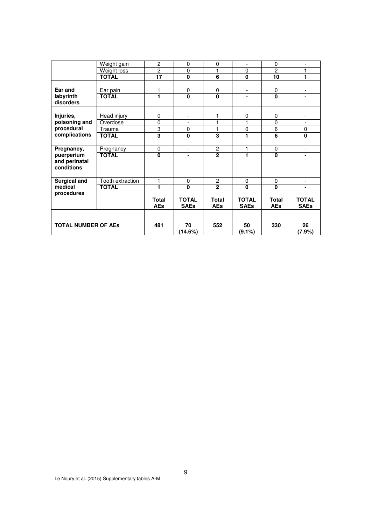|                            | Weight gain      | $\overline{c}$  | $\pmb{0}$                | 0              | $\overline{\phantom{a}}$ | $\mathbf 0$    | $\overline{a}$           |
|----------------------------|------------------|-----------------|--------------------------|----------------|--------------------------|----------------|--------------------------|
|                            | Weight loss      | $\overline{2}$  | $\mathbf 0$              | 1              | $\mathbf 0$              | $\overline{c}$ | 1                        |
|                            | <b>TOTAL</b>     | $\overline{17}$ | $\overline{\mathbf{0}}$  | $\overline{6}$ | $\overline{\mathbf{0}}$  | 10             | 1                        |
|                            |                  |                 |                          |                |                          |                |                          |
| Ear and                    | Ear pain         | 1               | 0                        | 0              | $\overline{\phantom{a}}$ | $\mathbf 0$    | $\overline{\phantom{a}}$ |
| labyrinth                  | <b>TOTAL</b>     | 1               | $\mathbf{0}$             | 0              | $\blacksquare$           | $\mathbf 0$    | $\blacksquare$           |
| disorders                  |                  |                 |                          |                |                          |                |                          |
|                            |                  |                 |                          |                |                          |                |                          |
| Injuries,                  | Head injury      | $\pmb{0}$       | $\overline{\phantom{a}}$ | 1              | $\pmb{0}$                | 0              | $\overline{a}$           |
| poisoning and              | Overdose         | $\mathbf 0$     |                          | 1              | 1                        | $\mathbf 0$    |                          |
| procedural                 | Trauma           | 3               | $\mathbf 0$              | 1              | $\pmb{0}$                | 6              | $\mathbf 0$              |
| complications              | <b>TOTAL</b>     | 3               | $\bf{0}$                 | 3              | 1                        | 6              | 0                        |
|                            |                  |                 |                          |                |                          |                |                          |
| Pregnancy,                 | Pregnancy        | 0               | $\overline{\phantom{a}}$ | $\overline{2}$ | 1                        | $\pmb{0}$      | $\overline{\phantom{a}}$ |
| puerperium                 | <b>TOTAL</b>     | $\Omega$        |                          | $\overline{2}$ | 1                        | $\mathbf{0}$   |                          |
| and perinatal              |                  |                 |                          |                |                          |                |                          |
| conditions                 |                  |                 |                          |                |                          |                |                          |
|                            |                  |                 |                          |                |                          |                |                          |
| <b>Surgical and</b>        | Tooth extraction | 1               | 0                        | $\overline{c}$ | $\mathbf 0$              | $\mathbf 0$    | $\overline{\phantom{a}}$ |
| medical                    | <b>TOTAL</b>     | 1               | $\mathbf{0}$             | $\overline{2}$ | $\mathbf{0}$             | $\mathbf{0}$   | $\blacksquare$           |
| procedures                 |                  |                 |                          |                |                          |                |                          |
|                            |                  | <b>Total</b>    | <b>TOTAL</b>             | <b>Total</b>   | <b>TOTAL</b>             | <b>Total</b>   | <b>TOTAL</b>             |
|                            |                  | <b>AEs</b>      | <b>SAEs</b>              | <b>AEs</b>     | <b>SAEs</b>              | <b>AEs</b>     | <b>SAEs</b>              |
|                            |                  |                 |                          |                |                          |                |                          |
|                            |                  |                 |                          |                |                          |                |                          |
| <b>TOTAL NUMBER OF AES</b> |                  | 481             | 70                       | 552            | 50                       | 330            | 26                       |
|                            |                  |                 | (14.6%)                  |                | $(9.1\%)$                |                | (7.9%)                   |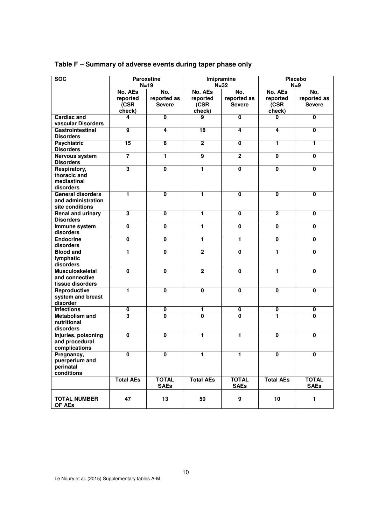| <b>SOC</b>                                                        |                             | <b>Paroxetine</b><br>$N=19$  |                             | <b>Imipramine</b><br>$N = 32$       | <b>Placebo</b><br>$N=9$     |                                     |  |
|-------------------------------------------------------------------|-----------------------------|------------------------------|-----------------------------|-------------------------------------|-----------------------------|-------------------------------------|--|
|                                                                   | No. AEs<br>reported<br>(CSR | No.<br>reported as<br>Severe | No. AEs<br>reported<br>(CSR | No.<br>reported as<br><b>Severe</b> | No. AEs<br>reported<br>(CSR | No.<br>reported as<br><b>Severe</b> |  |
| <b>Cardiac and</b><br>vascular Disorders                          | check)<br>4                 | 0                            | check)<br>9                 | 0                                   | check)<br>0                 | 0                                   |  |
| Gastrointestinal<br><b>Disorders</b>                              | 9                           | 4                            | 18                          | 4                                   | 4                           | $\mathbf 0$                         |  |
| <b>Psychiatric</b><br><b>Disorders</b>                            | $\overline{15}$             | $\overline{\mathbf{8}}$      | $\overline{2}$              | $\mathbf 0$                         | 1                           | 1                                   |  |
| Nervous system<br><b>Disorders</b>                                | $\overline{\mathbf{7}}$     | 1                            | $\overline{9}$              | $\overline{2}$                      | $\mathbf{0}$                | $\mathbf 0$                         |  |
| Respiratory,<br>thoracic and<br>mediastinal<br>disorders          | 3                           | 0                            | 1                           | $\bf{0}$                            | $\pmb{0}$                   | $\mathbf{0}$                        |  |
| <b>General disorders</b><br>and administration<br>site conditions | 1                           | 0                            | 1                           | 0                                   | 0                           | 0                                   |  |
| Renal and urinary<br><b>Disorders</b>                             | $\overline{\mathbf{3}}$     | 0                            | 1                           | $\mathbf 0$                         | $\mathbf 2$                 | $\mathbf{0}$                        |  |
| Immune system<br>disorders                                        | $\pmb{0}$                   | 0                            | 1                           | $\mathbf 0$                         | $\mathbf 0$                 | 0                                   |  |
| <b>Endocrine</b><br>disorders                                     | 0                           | 0                            | 1                           | 1                                   | $\mathbf{0}$                | $\mathbf 0$                         |  |
| <b>Blood and</b><br>lymphatic<br>disorders                        | 1                           | $\mathbf 0$                  | $\overline{2}$              | $\mathbf 0$                         | 1                           | $\mathbf{0}$                        |  |
| <b>Musculoskeletal</b><br>and connective<br>tissue disorders      | $\overline{\mathbf{0}}$     | $\overline{\mathbf{0}}$      | $\overline{2}$              | $\mathbf 0$                         | 1                           | 0                                   |  |
| Reproductive<br>system and breast<br>disorder                     | 1                           | $\overline{\mathbf{0}}$      | $\overline{\mathbf{0}}$     | $\overline{\mathbf{0}}$             | $\overline{\mathbf{0}}$     | $\overline{\mathbf{0}}$             |  |
| <b>Infections</b>                                                 | $\pmb{0}$                   | 0                            | 1                           | 0                                   | 0                           | 0                                   |  |
| <b>Metabolism and</b><br>nutritional<br>disorders                 | $\overline{\mathbf{3}}$     | 0                            | $\overline{\mathbf{0}}$     | 0                                   | 1                           | 0                                   |  |
| Injuries, poisoning<br>and procedural<br>complications            | $\overline{\mathbf{0}}$     | $\overline{\mathbf{0}}$      | 1                           | 1                                   | $\overline{\mathbf{0}}$     | $\mathbf 0$                         |  |
| Pregnancy,<br>puerperium and<br>perinatal<br>conditions           | $\Omega$                    | $\overline{0}$               | 1                           | 1                                   | $\Omega$                    | $\overline{0}$                      |  |
|                                                                   | <b>Total AEs</b>            | <b>TOTAL</b><br><b>SAEs</b>  | <b>Total AEs</b>            | <b>TOTAL</b><br><b>SAEs</b>         | <b>Total AEs</b>            | <b>TOTAL</b><br><b>SAEs</b>         |  |
| <b>TOTAL NUMBER</b><br>OF AEs                                     | 47                          | 13                           | 50                          | 9                                   | 10                          | $\mathbf{1}$                        |  |

# **Table F – Summary of adverse events during taper phase only**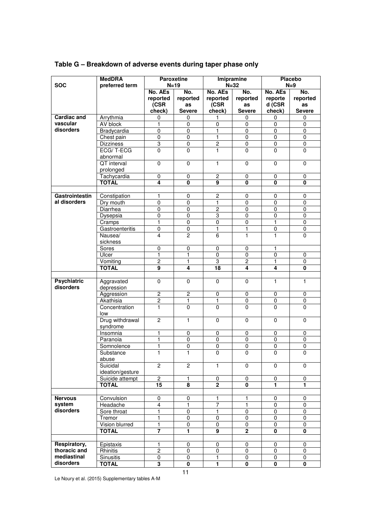|                    | <b>MedDRA</b>    |                  | <b>Paroxetine</b>       | Imipramine       |                            | <b>Placebo</b>          |                |
|--------------------|------------------|------------------|-------------------------|------------------|----------------------------|-------------------------|----------------|
| <b>SOC</b>         | preferred term   |                  | $N=19$                  |                  | $N=32$                     |                         | $N=9$          |
|                    |                  | No. AEs          | No.                     | No. AEs          | No.                        | No. AEs                 | No.            |
|                    |                  | reported         | reported                | reported         | reported                   | reporte                 | reported       |
|                    |                  | (CSR             | as                      | (CSR             | as                         | d (CSR                  | as             |
|                    |                  | check)           | <b>Severe</b>           | check)           | <b>Severe</b>              | check)                  | <b>Severe</b>  |
| <b>Cardiac and</b> | Arrythmia        | 0                | 0                       | 1                | 0                          | 0                       | 0              |
| vascular           | AV block         | 1                | 0                       | $\mathbf 0$      | $\mathbf 0$                | $\mathbf 0$             | 0              |
| disorders          | Bradycardia      | $\mathbf 0$      | $\mathbf 0$             | 1                | $\mathbf 0$                | $\pmb{0}$               | $\pmb{0}$      |
|                    | Chest pain       | 0                | 0                       | 1                | $\pmb{0}$                  | 0                       | 0              |
|                    | <b>Dizziness</b> | 3                | 0                       | $\overline{c}$   | 0                          | 0                       | 0              |
|                    | ECG/T-ECG        | $\overline{0}$   | $\overline{0}$          | $\mathbf{1}$     | $\mathbf{0}$               | $\Omega$                | $\overline{0}$ |
|                    | abnormal         |                  |                         |                  |                            |                         |                |
|                    | QT interval      | 0                | 0                       | $\mathbf{1}$     | $\pmb{0}$                  | $\pmb{0}$               | 0              |
|                    | prolonged        |                  |                         |                  |                            |                         |                |
|                    | Tachycardia      | $\overline{0}$   | $\overline{0}$          | $\overline{2}$   | $\pmb{0}$                  | 0                       | 0              |
|                    | <b>TOTAL</b>     | 4                | $\overline{\mathbf{0}}$ | $\overline{9}$   | $\mathbf 0$                | $\pmb{0}$               | $\bf{0}$       |
|                    |                  |                  |                         |                  |                            |                         |                |
| Gastrointestin     | Constipation     | 1                | 0                       | $\overline{c}$   | $\mathbf 0$                | 0                       | 0              |
| al disorders       | Dry mouth        | 0                | 0                       | 1                | $\mathbf 0$                | $\mathbf 0$             | $\pmb{0}$      |
|                    | Diarrhea         | $\overline{0}$   | 0                       | $\overline{c}$   | 0                          | 0                       | 0              |
|                    | Dysepsia         | 0                | 0                       | 3                | 0                          | $\pmb{0}$               | 0              |
|                    | Cramps           | 1                | $\pmb{0}$               | $\mathbf 0$      | $\pmb{0}$                  | 1                       | $\mathbf 0$    |
|                    | Gastroenteritis  | 0                | 0                       | $\mathbf{1}$     | 1                          | 0                       | $\pmb{0}$      |
|                    | Nausea/          | 4                | $\overline{c}$          | 6                | 1                          | $\mathbf{1}$            | $\mathbf 0$    |
|                    | sickness         |                  |                         |                  |                            |                         |                |
|                    | Sores<br>Ulcer   | 0<br>1           | 0<br>$\mathbf{1}$       | 0<br>$\mathbf 0$ | $\mathbf 0$<br>$\mathbf 0$ | 1<br>$\mathbf 0$        |                |
|                    | Vomiting         | $\overline{2}$   | 1                       | 3                | $\mathbf{2}$               | 1                       | 0<br>0         |
|                    | <b>TOTAL</b>     | 9                | 4                       | 18               | 4                          | $\overline{\mathbf{4}}$ | $\mathbf 0$    |
|                    |                  |                  |                         |                  |                            |                         |                |
| <b>Psychiatric</b> | Aggravated       | 0                | 0                       | 0                | $\mathbf 0$                | 1                       | 1              |
| disorders          | depression       |                  |                         |                  |                            |                         |                |
|                    | Aggression       | 2                | $\overline{c}$          | 0                | 0                          | 0                       | 0              |
|                    | Akathisia        | $\overline{2}$   | 1                       | $\mathbf{1}$     | 0                          | $\pmb{0}$               | $\mathbf 0$    |
|                    | Concentration    | 1                | 0                       | $\mathbf 0$      | $\mathbf{0}$               | $\mathbf{0}$            | $\mathbf 0$    |
|                    | low              |                  |                         |                  |                            |                         |                |
|                    | Drug withdrawal  | $\overline{2}$   | 1                       | $\pmb{0}$        | $\pmb{0}$                  | $\pmb{0}$               | 0              |
|                    | syndrome         |                  |                         |                  |                            |                         |                |
|                    | Insomnia         | 1                | 0                       | $\pmb{0}$        | $\pmb{0}$                  | 0                       | 0              |
|                    | Paranoia         | 1                | $\overline{0}$          | $\overline{0}$   | 0                          | 0                       | 0              |
|                    | Somnolence       | 1                | 0                       | 0                | 0                          | 0                       | 0              |
|                    | Substance        | 1                | $\mathbf{1}$            | $\mathbf 0$      | $\mathbf 0$                | $\mathbf 0$             | $\mathbf 0$    |
|                    | abuse            |                  |                         |                  |                            |                         |                |
|                    | Suicidal         | $\overline{2}$   | $\overline{2}$          | $\mathbf{1}$     | $\mathbf 0$                | $\mathbf 0$             | 0              |
|                    | ideation/gesture |                  |                         |                  |                            |                         |                |
|                    | Suicide attempt  | $\mathbf{2}$     | 1                       | 0                | 0                          | 0                       | 0              |
|                    | <b>TOTAL</b>     | 15               | 8                       | $\mathbf{2}$     | 0                          | 1                       | 1              |
|                    |                  |                  |                         |                  |                            |                         |                |
| <b>Nervous</b>     | Convulsion       | 0                | 0                       | 1                | 1                          | 0                       | 0              |
| system             | Headache         | $\overline{4}$   | 1                       | 7                | $\mathbf{1}$               | $\mathbf 0$             | $\mathbf 0$    |
| disorders          | Sore throat      | 1                | $\mathsf 0$             | $\overline{1}$   | $\mathbf 0$                | $\pmb{0}$               | $\pmb{0}$      |
|                    | Tremor           | 1                | 0                       | $\overline{0}$   | $\mathbf 0$                | 0                       | 0              |
|                    | Vision blurred   | 1                | 0                       | $\mathbf 0$      | 0                          | 0                       | $\mathbf 0$    |
|                    | <b>TOTAL</b>     | 7                | 1                       | 9                | $\mathbf 2$                | $\mathbf 0$             | $\mathbf 0$    |
|                    |                  |                  |                         |                  |                            |                         |                |
| Respiratory,       | Epistaxis        | 1                | 0                       | 0                | $\mathbf 0$                | $\mathbf 0$             | 0              |
| thoracic and       | Rhinitis         | $\boldsymbol{2}$ | 0                       | 0                | 0                          | 0                       | 0              |
| mediastinal        | Sinusitis        | 0                | 0                       | $\mathbf{1}$     | 0                          | 0                       | 0              |
| disorders          | <b>TOTAL</b>     | 3                | $\mathbf 0$             | 1                | $\mathbf 0$                | 0                       | 0              |

# **Table G – Breakdown of adverse events during taper phase only**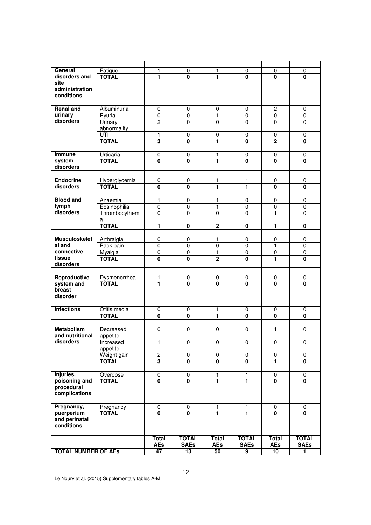| General                    | Fatigue        | 1                       | 0                       | 1                       | 0                       | 0                       | 0                       |
|----------------------------|----------------|-------------------------|-------------------------|-------------------------|-------------------------|-------------------------|-------------------------|
| disorders and              | <b>TOTAL</b>   | 1                       | $\overline{\mathbf{0}}$ | 1                       | 0                       | 0                       | 0                       |
| site                       |                |                         |                         |                         |                         |                         |                         |
| administration             |                |                         |                         |                         |                         |                         |                         |
| conditions                 |                |                         |                         |                         |                         |                         |                         |
|                            |                |                         |                         |                         |                         |                         |                         |
| <b>Renal and</b>           | Albuminuria    | 0                       | 0                       | 0                       | 0                       | $\overline{c}$          | 0                       |
| urinary                    | Pyuria         | 0                       | $\mathbf 0$             | $\mathbf{1}$            | $\mathbf 0$             | $\mathbf 0$             | $\mathbf 0$             |
| disorders                  | Urinary        | $\overline{c}$          | $\Omega$                | 0                       | 0                       | $\Omega$                | 0                       |
|                            | abnormality    |                         |                         |                         |                         |                         |                         |
|                            | UTI            | 1                       | 0                       | 0                       | 0                       | $\pmb{0}$               | 0                       |
|                            |                | 3                       | $\mathbf{0}$            | $\overline{1}$          | $\mathbf{0}$            | $\overline{2}$          | $\mathbf{0}$            |
|                            | <b>TOTAL</b>   |                         |                         |                         |                         |                         |                         |
|                            |                |                         |                         |                         |                         |                         |                         |
| <b>Immune</b>              | Urticaria      | 0                       | 0                       | 1                       | 0                       | 0                       | 0                       |
| system                     | <b>TOTAL</b>   | 0                       | 0                       | 1                       | 0                       | 0                       | $\bf{0}$                |
| disorders                  |                |                         |                         |                         |                         |                         |                         |
|                            |                |                         |                         |                         |                         |                         |                         |
| <b>Endocrine</b>           | Hyperglycemia  | 0                       | 0                       | 1                       | 1                       | 0                       | 0                       |
| disorders                  | <b>TOTAL</b>   | 0                       | 0                       | 1                       | 1                       | 0                       | $\mathbf 0$             |
|                            |                |                         |                         |                         |                         |                         |                         |
| <b>Blood and</b>           | Anaemia        | 1                       | 0                       | 1                       | 0                       | 0                       | 0                       |
| lymph                      | Eosinophilia   | 0                       | 0                       | 1                       | 0                       | 0                       | 0                       |
| disorders                  |                |                         | $\Omega$                | 0                       |                         | 1                       |                         |
|                            | Thrombocythemi | 0                       |                         |                         | 0                       |                         | 0                       |
|                            | а              |                         |                         |                         |                         |                         |                         |
|                            | <b>TOTAL</b>   | 1                       | $\mathbf{0}$            | $\overline{2}$          | 0                       | 1                       | 0                       |
|                            |                |                         |                         |                         |                         |                         |                         |
| <b>Musculoskelet</b>       | Arthralgia     | 0                       | 0                       | 1                       | 0                       | 0                       | 0                       |
| al and                     | Back pain      | 0                       | $\mathbf 0$             | 0                       | $\mathbf 0$             | 1                       | $\mathbf 0$             |
| connective                 | Myalgia        | 0                       | $\pmb{0}$               | 1                       | 0                       | $\pmb{0}$               | 0                       |
| tissue                     | <b>TOTAL</b>   | 0                       | 0                       | $\overline{2}$          | 0                       | 1                       | 0                       |
| disorders                  |                |                         |                         |                         |                         |                         |                         |
|                            |                |                         |                         |                         |                         |                         |                         |
| Reproductive               | Dysmenorrhea   | 1                       | 0                       | 0                       | 0                       | 0                       | 0                       |
| system and                 | <b>TOTAL</b>   | 1                       | $\overline{\mathbf{0}}$ | $\overline{\mathbf{0}}$ | $\overline{\mathbf{0}}$ | $\overline{\mathbf{0}}$ | $\mathbf{0}$            |
| breast                     |                |                         |                         |                         |                         |                         |                         |
| disorder                   |                |                         |                         |                         |                         |                         |                         |
|                            |                |                         |                         |                         |                         |                         |                         |
| <b>Infections</b>          | Otitis media   | 0                       | 0                       | 1                       | 0                       | 0                       | 0                       |
|                            | <b>TOTAL</b>   | $\overline{\mathbf{0}}$ | $\overline{\mathbf{0}}$ | 1                       | $\overline{\mathbf{0}}$ | $\overline{\mathbf{0}}$ | $\overline{\mathbf{0}}$ |
|                            |                |                         |                         |                         |                         |                         |                         |
|                            |                |                         |                         |                         |                         |                         |                         |
| <b>Metabolism</b>          | Decreased      | 0                       | $\mathbf 0$             | 0                       | $\mathbf 0$             | 1                       | $\mathbf 0$             |
| and nutritional            | appetite       |                         |                         |                         |                         |                         |                         |
| disorders                  | Increased      | 1                       | 0                       | 0                       | 0                       | 0                       | 0                       |
|                            | appetite       |                         |                         |                         |                         |                         |                         |
|                            | Weight gain    | $\overline{c}$          | $\overline{0}$          | $\overline{0}$          | 0                       | $\pmb{0}$               | $\mathbf 0$             |
|                            | <b>TOTAL</b>   | $\overline{\mathbf{3}}$ | $\mathbf{0}$            | 0                       | 0                       | 1                       | $\mathbf{0}$            |
|                            |                |                         |                         |                         |                         |                         |                         |
| Injuries,                  | Overdose       | 0                       | $\pmb{0}$               | 1                       | 1                       | 0                       | 0                       |
| poisoning and              | <b>TOTAL</b>   | $\mathbf{0}$            | $\mathbf{0}$            | 1                       | 1                       | $\bf{0}$                | $\bf{0}$                |
| procedural                 |                |                         |                         |                         |                         |                         |                         |
| complications              |                |                         |                         |                         |                         |                         |                         |
|                            |                |                         |                         |                         |                         |                         |                         |
| Pregnancy,                 | Pregnancy      | 0                       | 0                       | 1                       | 1                       | 0                       | 0                       |
| puerperium                 | <b>TOTAL</b>   | 0                       | 0                       | 1                       | 1                       | 0                       | 0                       |
| and perinatal              |                |                         |                         |                         |                         |                         |                         |
| conditions                 |                |                         |                         |                         |                         |                         |                         |
|                            |                |                         |                         |                         |                         |                         |                         |
|                            |                |                         |                         |                         |                         |                         |                         |
|                            |                | Total                   | <b>TOTAL</b>            | Total                   | <b>TOTAL</b>            | Total                   | <b>TOTAL</b>            |
|                            |                | AEs                     | <b>SAEs</b>             | <b>AEs</b>              | <b>SAEs</b>             | AEs                     | <b>SAEs</b>             |
| <b>TOTAL NUMBER OF AES</b> |                | 47                      | 13                      | 50                      | 9                       | 10                      | 1                       |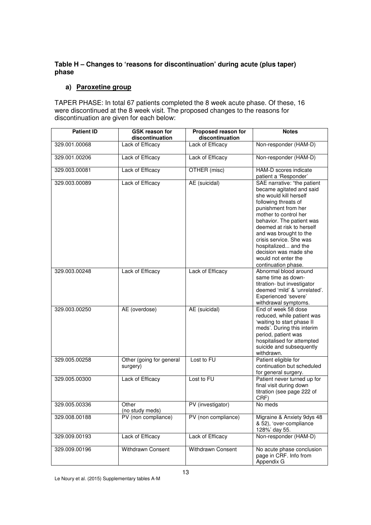### **Table H – Changes to 'reasons for discontinuation' during acute (plus taper) phase**

#### **a) Paroxetine group**

TAPER PHASE: In total 67 patients completed the 8 week acute phase. Of these, 16 were discontinued at the 8 week visit. The proposed changes to the reasons for discontinuation are given for each below:

| <b>Patient ID</b> | <b>GSK reason for</b><br>discontinuation | Proposed reason for<br>discontinuation | <b>Notes</b>                                                                                                                                                                                                                                                                                                                                                            |
|-------------------|------------------------------------------|----------------------------------------|-------------------------------------------------------------------------------------------------------------------------------------------------------------------------------------------------------------------------------------------------------------------------------------------------------------------------------------------------------------------------|
| 329.001.00068     | Lack of Efficacy                         | Lack of Efficacy                       | Non-responder (HAM-D)                                                                                                                                                                                                                                                                                                                                                   |
| 329.001.00206     | Lack of Efficacy                         | Lack of Efficacy                       | Non-responder (HAM-D)                                                                                                                                                                                                                                                                                                                                                   |
| 329.003.00081     | Lack of Efficacy                         | OTHER (misc)                           | HAM-D scores indicate<br>patient a 'Responder'                                                                                                                                                                                                                                                                                                                          |
| 329.003.00089     | Lack of Efficacy                         | AE (suicidal)                          | SAE narrative: "the patient<br>became agitated and said<br>she would kill herself<br>following threats of<br>punishment from her<br>mother to control her<br>behavior. The patient was<br>deemed at risk to herself<br>and was brought to the<br>crisis service. She was<br>hospitalized and the<br>decision was made she<br>would not enter the<br>continuation phase. |
| 329.003.00248     | Lack of Efficacy                         | Lack of Efficacy                       | Abnormal blood around<br>same time as down-<br>titration- but investigator<br>deemed 'mild' & 'unrelated'.<br>Experienced 'severe'<br>withdrawal symptoms.                                                                                                                                                                                                              |
| 329.003.00250     | AE (overdose)                            | AE (suicidal)                          | End of week 58 dose<br>reduced, while patient was<br>'waiting to start phase II<br>meds'. During this interim<br>period, patient was<br>hospitalised for attempted<br>suicide and subsequently<br>withdrawn.                                                                                                                                                            |
| 329.005.00258     | Other (going for general<br>surgery)     | Lost to FU                             | Patient eligible for<br>continuation but scheduled<br>for general surgery.                                                                                                                                                                                                                                                                                              |
| 329.005.00300     | Lack of Efficacy                         | Lost to FU                             | Patient never turned up for<br>final visit during down<br>titration (see page 222 of<br>CRF)                                                                                                                                                                                                                                                                            |
| 329.005.00336     | Other<br>(no study meds)                 | PV (investigator)                      | No meds                                                                                                                                                                                                                                                                                                                                                                 |
| 329.008.00188     | PV (non compliance)                      | PV (non compliance)                    | Migraine & Anxiety 9dys 48<br>& 52), 'over-compliance<br>128%' day 55.                                                                                                                                                                                                                                                                                                  |
| 329.009.00193     | Lack of Efficacy                         | Lack of Efficacy                       | Non-responder (HAM-D)                                                                                                                                                                                                                                                                                                                                                   |
| 329.009.00196     | <b>Withdrawn Consent</b>                 | Withdrawn Consent                      | No acute phase conclusion<br>page in CRF. Info from<br>Appendix G                                                                                                                                                                                                                                                                                                       |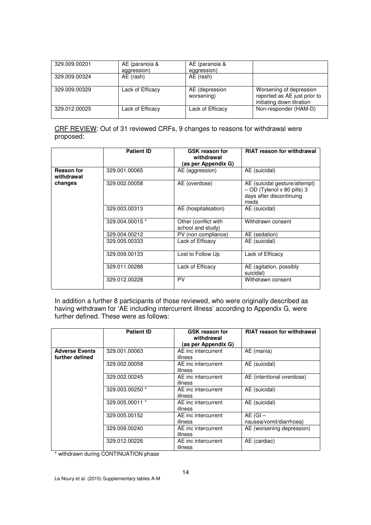| 329.009.00201 | AE (paranoia &<br>aggression) | AE (paranoia &<br>aggression) |                                                                                      |
|---------------|-------------------------------|-------------------------------|--------------------------------------------------------------------------------------|
| 329.009.00324 | AE (rash)                     | AE (rash)                     |                                                                                      |
| 329.009.00329 | Lack of Efficacy              | AE (depression<br>worsening)  | Worsening of depression<br>reported as AE just prior to<br>initiating down titration |
| 329.012.00025 | Lack of Efficacy              | Lack of Efficacy              | Non-responder (HAM-D)                                                                |

CRF REVIEW: Out of 31 reviewed CRFs, 9 changes to reasons for withdrawal were proposed:

|                                 | <b>Patient ID</b> | <b>GSK reason for</b><br>withdrawal<br>(as per Appendix G) | <b>RIAT reason for withdrawal</b>                                                                |
|---------------------------------|-------------------|------------------------------------------------------------|--------------------------------------------------------------------------------------------------|
| <b>Reason for</b><br>withdrawal | 329.001.00065     | AE (aggression)                                            | AE (suicidal)                                                                                    |
| changes                         | 329.002.00058     | AE (overdose)                                              | AE (suicidal gesture/attempt)<br>- OD (Tylenol x 80 pills) 3<br>days after discontinuing<br>meds |
|                                 | 329.003.00313     | AE (hospitalisation)                                       | AE (suicidal)                                                                                    |
|                                 | 329.004.00015 *   | Other (conflict with<br>school and study)                  | Withdrawn consent                                                                                |
|                                 | 329.004.00212     | PV (non compliance)                                        | AE (sedation)                                                                                    |
|                                 | 329.005.00333     | Lack of Efficacy                                           | AE (suicidal)                                                                                    |
|                                 | 329.009.00133     | Lost to Follow Up                                          | Lack of Efficacy                                                                                 |
|                                 | 329.011.00288     | Lack of Efficacy                                           | AE (agitation, possibly<br>suicidal)                                                             |
|                                 | 329.012.00228     | PV                                                         | Withdrawn consent                                                                                |

In addition a further 8 participants of those reviewed, who were originally described as having withdrawn for 'AE including intercurrent illness' according to Appendix G, were further defined. These were as follows:

|                                          | <b>Patient ID</b> | <b>GSK reason for</b><br>withdrawal<br>(as per Appendix G) | <b>RIAT reason for withdrawal</b>       |
|------------------------------------------|-------------------|------------------------------------------------------------|-----------------------------------------|
| <b>Adverse Events</b><br>further defined | 329.001.00063     | AE inc intercurrent<br>illness                             | AE (mania)                              |
|                                          | 329.002.00058     | AE inc intercurrent<br>illness                             | AE (suicidal)                           |
|                                          | 329.002.00245     | AE inc intercurrent<br>illness                             | AE (intentional overdose)               |
|                                          | 329.003.00250 *   | AE inc intercurrent<br>illness                             | AE (suicidal)                           |
|                                          | 329.005.00011 *   | AE inc intercurrent<br>illness                             | AE (suicidal)                           |
|                                          | 329.005.00152     | AE inc intercurrent<br>illness                             | $AE$ (GI $-$<br>nausea/vomit/diarrhoea) |
|                                          | 329.009.00240     | AE inc intercurrent<br>illness                             | AE (worsening depression)               |
|                                          | 329.012.00226     | AE inc intercurrent<br>illness                             | AE (cardiac)                            |

\* withdrawn during CONTINUATION phase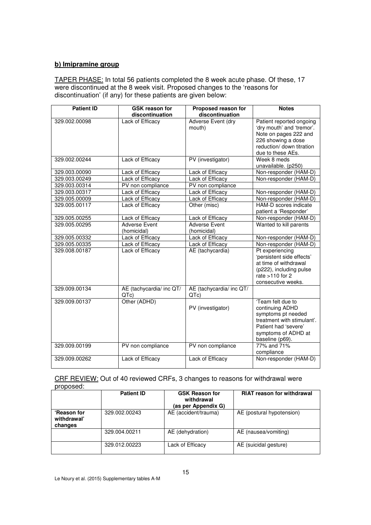# **b) Imipramine group**

TAPER PHASE: In total 56 patients completed the 8 week acute phase. Of these, 17 were discontinued at the 8 week visit. Proposed changes to the 'reasons for discontinuation' (if any) for these patients are given below:

| <b>Patient ID</b> | <b>GSK reason for</b><br>discontinuation | Proposed reason for<br>discontinuation | <b>Notes</b>                                                                                                                                               |
|-------------------|------------------------------------------|----------------------------------------|------------------------------------------------------------------------------------------------------------------------------------------------------------|
| 329.002.00098     | Lack of Efficacy                         | Adverse Event (dry<br>mouth)           | Patient reported ongoing<br>'dry mouth' and 'tremor'.<br>Note on pages 222 and<br>226 showing a dose<br>reduction/ down titration<br>due to these AEs.     |
| 329.002.00244     | Lack of Efficacy                         | PV (investigator)                      | Week 8 meds<br>unavailable. (p250)                                                                                                                         |
| 329.003.00090     | Lack of Efficacy                         | Lack of Efficacy                       | Non-responder (HAM-D)                                                                                                                                      |
| 329.003.00249     | Lack of Efficacy                         | Lack of Efficacy                       | Non-responder (HAM-D)                                                                                                                                      |
| 329.003.00314     | PV non compliance                        | PV non compliance                      |                                                                                                                                                            |
| 329.003.00317     | Lack of Efficacy                         | Lack of Efficacy                       | Non-responder (HAM-D)                                                                                                                                      |
| 329.005.00009     | Lack of Efficacy                         | Lack of Efficacy                       | Non-responder (HAM-D)                                                                                                                                      |
| 329.005.00117     | Lack of Efficacy                         | Other (misc)                           | HAM-D scores indicate<br>patient a 'Responder'                                                                                                             |
| 329.005.00255     | Lack of Efficacy                         | Lack of Efficacy                       | Non-responder (HAM-D)                                                                                                                                      |
| 329.005.00295     | <b>Adverse Event</b><br>(homicidal)      | <b>Adverse Event</b><br>(homicidal)    | Wanted to kill parents                                                                                                                                     |
| 329.005.00332     | Lack of Efficacy                         | Lack of Efficacy                       | Non-responder (HAM-D)                                                                                                                                      |
| 329.005.00335     | Lack of Efficacy                         | Lack of Efficacy                       | Non-responder (HAM-D)                                                                                                                                      |
| 329.008.00187     | Lack of Efficacy                         | AE (tachycardia)                       | Pt experiencing<br>'persistent side effects'<br>at time of withdrawal<br>(p222), including pulse<br>rate $>110$ for 2<br>consecutive weeks.                |
| 329.009.00134     | AE (tachycardia/ inc QT/<br>QTe          | AE (tachycardia/ inc QT/<br>QTc)       |                                                                                                                                                            |
| 329.009.00137     | Other (ADHD)                             | PV (investigator)                      | 'Team felt due to<br>continuing ADHD<br>symptoms pt needed<br>treatment with stimulant'.<br>Patient had 'severe'<br>symptoms of ADHD at<br>baseline (p69). |
| 329.009.00199     | PV non compliance                        | PV non compliance                      | 77% and 71%<br>compliance                                                                                                                                  |
| 329.009.00262     | Lack of Efficacy                         | Lack of Efficacy                       | Non-responder (HAM-D)                                                                                                                                      |

#### CRF REVIEW: Out of 40 reviewed CRFs, 3 changes to reasons for withdrawal were proposed:

|                                              | <b>Patient ID</b> | <b>GSK Reason for</b><br>withdrawal<br>(as per Appendix G) | <b>RIAT reason for withdrawal</b> |
|----------------------------------------------|-------------------|------------------------------------------------------------|-----------------------------------|
| <b>'Reason for</b><br>withdrawal'<br>changes | 329.002.00243     | AE (accident/trauma)                                       | AE (postural hypotension)         |
|                                              | 329.004.00211     | AE (dehydration)                                           | AE (nausea/vomiting)              |
|                                              | 329.012.00223     | Lack of Efficacy                                           | AE (suicidal gesture)             |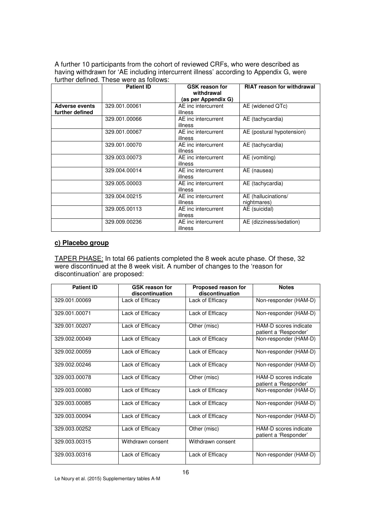A further 10 participants from the cohort of reviewed CRFs, who were described as having withdrawn for 'AE including intercurrent illness' according to Appendix G, were further defined. These were as follows:

|                                          | <b>Patient ID</b> | <b>GSK reason for</b><br>withdrawal<br>(as per Appendix G) | <b>RIAT reason for withdrawal</b>  |
|------------------------------------------|-------------------|------------------------------------------------------------|------------------------------------|
| <b>Adverse events</b><br>further defined | 329.001.00061     | AE inc intercurrent<br>illness                             | AE (widened QTc)                   |
|                                          | 329.001.00066     | AE inc intercurrent<br>illness                             | AE (tachycardia)                   |
|                                          | 329.001.00067     | AE inc intercurrent<br>illness                             | AE (postural hypotension)          |
|                                          | 329.001.00070     | AE inc intercurrent<br>illness                             | AE (tachycardia)                   |
|                                          | 329.003.00073     | AE inc intercurrent<br>illness                             | AE (vomiting)                      |
|                                          | 329.004.00014     | AE inc intercurrent<br>illness                             | AE (nausea)                        |
|                                          | 329.005.00003     | AE inc intercurrent<br>illness                             | AE (tachycardia)                   |
|                                          | 329.004.00215     | AE inc intercurrent<br>illness                             | AE (hallucinations/<br>nightmares) |
|                                          | 329.005.00113     | AE inc intercurrent<br>illness                             | AE (suicidal)                      |
|                                          | 329.009.00236     | AE inc intercurrent<br>illness                             | AE (dizziness/sedation)            |

### **c) Placebo group**

TAPER PHASE: In total 66 patients completed the 8 week acute phase. Of these, 32 were discontinued at the 8 week visit. A number of changes to the 'reason for discontinuation' are proposed:

| <b>Patient ID</b> | <b>GSK reason for</b><br>discontinuation | Proposed reason for<br>discontinuation | <b>Notes</b>                                   |
|-------------------|------------------------------------------|----------------------------------------|------------------------------------------------|
| 329.001.00069     | Lack of Efficacy                         | Lack of Efficacy                       | Non-responder (HAM-D)                          |
| 329.001.00071     | Lack of Efficacy                         | Lack of Efficacy                       | Non-responder (HAM-D)                          |
| 329.001.00207     | Lack of Efficacy                         | Other (misc)                           | HAM-D scores indicate<br>patient a 'Responder' |
| 329.002.00049     | Lack of Efficacy                         | Lack of Efficacy                       | Non-responder (HAM-D)                          |
| 329.002.00059     | Lack of Efficacy                         | Lack of Efficacy                       | Non-responder (HAM-D)                          |
| 329.002.00246     | Lack of Efficacy                         | Lack of Efficacy                       | Non-responder (HAM-D)                          |
| 329.003.00078     | Lack of Efficacy                         | Other (misc)                           | HAM-D scores indicate<br>patient a 'Responder' |
| 329.003.00080     | Lack of Efficacy                         | Lack of Efficacy                       | Non-responder (HAM-D)                          |
| 329.003.00085     | Lack of Efficacy                         | Lack of Efficacy                       | Non-responder (HAM-D)                          |
| 329.003.00094     | Lack of Efficacy                         | Lack of Efficacy                       | Non-responder (HAM-D)                          |
| 329.003.00252     | Lack of Efficacy                         | Other (misc)                           | HAM-D scores indicate<br>patient a 'Responder' |
| 329.003.00315     | Withdrawn consent                        | Withdrawn consent                      |                                                |
| 329.003.00316     | Lack of Efficacy                         | Lack of Efficacy                       | Non-responder (HAM-D)                          |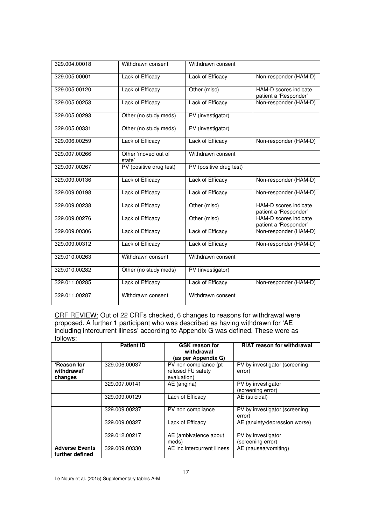| 329.004.00018 | Withdrawn consent             | Withdrawn consent       |                                                |
|---------------|-------------------------------|-------------------------|------------------------------------------------|
| 329.005.00001 | Lack of Efficacy              | Lack of Efficacy        | Non-responder (HAM-D)                          |
| 329.005.00120 | Lack of Efficacy              | Other (misc)            | HAM-D scores indicate<br>patient a 'Responder' |
| 329.005.00253 | Lack of Efficacy              | Lack of Efficacy        | Non-responder (HAM-D)                          |
| 329.005.00293 | Other (no study meds)         | PV (investigator)       |                                                |
| 329.005.00331 | Other (no study meds)         | PV (investigator)       |                                                |
| 329.006.00259 | Lack of Efficacy              | Lack of Efficacy        | Non-responder (HAM-D)                          |
| 329.007.00266 | Other 'moved out of<br>state' | Withdrawn consent       |                                                |
| 329.007.00267 | PV (positive drug test)       | PV (positive drug test) |                                                |
| 329.009.00136 | Lack of Efficacy              | Lack of Efficacy        | Non-responder (HAM-D)                          |
| 329.009.00198 | Lack of Efficacy              | Lack of Efficacy        | Non-responder (HAM-D)                          |
| 329.009.00238 | Lack of Efficacy              | Other (misc)            | HAM-D scores indicate<br>patient a 'Responder' |
| 329.009.00276 | Lack of Efficacy              | Other (misc)            | HAM-D scores indicate<br>patient a 'Responder' |
| 329.009.00306 | Lack of Efficacy              | Lack of Efficacy        | Non-responder (HAM-D)                          |
| 329.009.00312 | Lack of Efficacy              | Lack of Efficacy        | Non-responder (HAM-D)                          |
| 329.010.00263 | Withdrawn consent             | Withdrawn consent       |                                                |
| 329.010.00282 | Other (no study meds)         | PV (investigator)       |                                                |
| 329.011.00285 | Lack of Efficacy              | Lack of Efficacy        | Non-responder (HAM-D)                          |
| 329.011.00287 | Withdrawn consent             | Withdrawn consent       |                                                |

CRF REVIEW: Out of 22 CRFs checked, 6 changes to reasons for withdrawal were proposed. A further 1 participant who was described as having withdrawn for 'AE including intercurrent illness' according to Appendix G was defined. These were as follows:

|                                          | <b>Patient ID</b> | <b>GSK reason for</b><br>withdrawal<br>(as per Appendix G) | <b>RIAT reason for withdrawal</b>       |
|------------------------------------------|-------------------|------------------------------------------------------------|-----------------------------------------|
| 'Reason for<br>withdrawal'<br>changes    | 329.006.00037     | PV non compliance (pt)<br>refused FU safety<br>evaluation) | PV by investigator (screening<br>error) |
|                                          | 329.007.00141     | AE (angina)                                                | PV by investigator<br>(screening error) |
|                                          | 329.009.00129     | Lack of Efficacy                                           | AE (suicidal)                           |
|                                          | 329.009.00237     | PV non compliance                                          | PV by investigator (screening<br>error) |
|                                          | 329.009.00327     | Lack of Efficacy                                           | AE (anxiety/depression worse)           |
|                                          | 329.012.00217     | AE (ambivalence about<br>meds)                             | PV by investigator<br>(screening error) |
| <b>Adverse Events</b><br>further defined | 329.009.00330     | AE inc intercurrent illness                                | AE (nausea/vomiting)                    |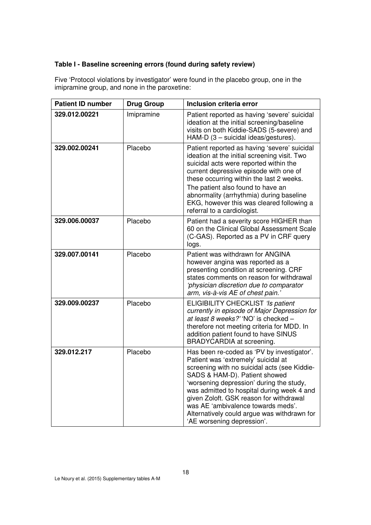## **Table I - Baseline screening errors (found during safety review)**

Five 'Protocol violations by investigator' were found in the placebo group, one in the imipramine group, and none in the paroxetine:

| <b>Patient ID number</b> | <b>Drug Group</b> | Inclusion criteria error                                                                                                                                                                                                                                                                                                                                                                                                   |
|--------------------------|-------------------|----------------------------------------------------------------------------------------------------------------------------------------------------------------------------------------------------------------------------------------------------------------------------------------------------------------------------------------------------------------------------------------------------------------------------|
| 329.012.00221            | Imipramine        | Patient reported as having 'severe' suicidal<br>ideation at the initial screening/baseline<br>visits on both Kiddie-SADS (5-severe) and<br>HAM-D (3 - suicidal ideas/gestures).                                                                                                                                                                                                                                            |
| 329.002.00241            | Placebo           | Patient reported as having 'severe' suicidal<br>ideation at the initial screening visit. Two<br>suicidal acts were reported within the<br>current depressive episode with one of<br>these occurring within the last 2 weeks.<br>The patient also found to have an<br>abnormality (arrhythmia) during baseline<br>EKG, however this was cleared following a<br>referral to a cardiologist.                                  |
| 329.006.00037            | Placebo           | Patient had a severity score HIGHER than<br>60 on the Clinical Global Assessment Scale<br>(C-GAS). Reported as a PV in CRF query<br>logs.                                                                                                                                                                                                                                                                                  |
| 329.007.00141            | Placebo           | Patient was withdrawn for ANGINA<br>however angina was reported as a<br>presenting condition at screening. CRF<br>states comments on reason for withdrawal<br>'physician discretion due to comparator<br>arm, vis-à-vis AE of chest pain.'                                                                                                                                                                                 |
| 329.009.00237            | Placebo           | ELIGIBILITY CHECKLIST 'Is patient<br>currently in episode of Major Depression for<br>at least 8 weeks?' 'NO' is checked -<br>therefore not meeting criteria for MDD. In<br>addition patient found to have SINUS<br>BRADYCARDIA at screening.                                                                                                                                                                               |
| 329.012.217              | Placebo           | Has been re-coded as 'PV by investigator'.<br>Patient was 'extremely' suicidal at<br>screening with no suicidal acts (see Kiddie-<br>SADS & HAM-D). Patient showed<br>'worsening depression' during the study,<br>was admitted to hospital during week 4 and<br>given Zoloft. GSK reason for withdrawal<br>was AE 'ambivalence towards meds'.<br>Alternatively could argue was withdrawn for<br>'AE worsening depression'. |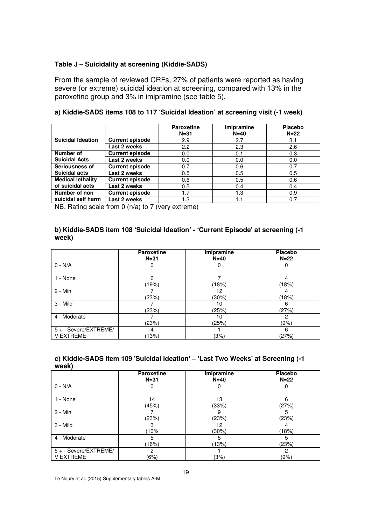#### **Table J – Suicidality at screening (Kiddie-SADS)**

From the sample of reviewed CRFs, 27% of patients were reported as having severe (or extreme) suicidal ideation at screening, compared with 13% in the paroxetine group and 3% in imipramine (see table 5).

#### **a) Kiddie-SADS items 108 to 117 'Suicidal Ideation' at screening visit (-1 week)**

|                          |                        | <b>Paroxetine</b><br>$N = 31$ | <b>Imipramine</b><br>$N=40$ | <b>Placebo</b><br>$N=22$ |
|--------------------------|------------------------|-------------------------------|-----------------------------|--------------------------|
| <b>Suicidal Ideation</b> | <b>Current episode</b> | 2.9                           | 2.7                         | 3.1                      |
|                          | Last 2 weeks           | 2.2                           | 2.3                         | 2.6                      |
| Number of                | <b>Current episode</b> | 0.0                           | 0.1                         | 0.3                      |
| <b>Suicidal Acts</b>     | Last 2 weeks           | 0.0                           | 0.0                         | 0.0                      |
| Seriousness of           | <b>Current episode</b> | 0.7                           | 0.6                         | 0.7                      |
| <b>Suicidal acts</b>     | Last 2 weeks           | 0.5                           | 0.5                         | 0.5                      |
| <b>Medical lethality</b> | <b>Current episode</b> | 0.6                           | 0.5                         | 0.6                      |
| of suicidal acts         | Last 2 weeks           | 0.5                           | 0.4                         | 0.4                      |
| Number of non            | <b>Current episode</b> | 1.7                           | 1.3                         | 0.9                      |
| suicidal self harm       | Last 2 weeks           | 1.3                           |                             | 0.7                      |

NB. Rating scale from 0 (n/a) to 7 (very extreme)

#### **b) Kiddie-SADS item 108 'Suicidal Ideation' - 'Current Episode' at screening (-1 week)**

|                                           | Paroxetine<br>$N=31$ | Imipramine<br>$N=40$ | <b>Placebo</b><br>$N=22$ |
|-------------------------------------------|----------------------|----------------------|--------------------------|
| $0 - N/A$                                 | O                    | O                    | O                        |
| 1 - None                                  | 6<br>19%             | (18%)                | (18%)                    |
| 2 - Min                                   | (23%)                | 12<br>(30%)          | (18%)                    |
| 3 - Mild                                  | (23%)                | 10<br>(25%)          | 6<br>(27%)               |
| 4 - Moderate                              | (23%)                | 10<br>(25%)          | 2<br>(9%)                |
| 5 + - Severe/EXTREME/<br><b>V EXTREME</b> | 4<br>13%             | (3%)                 | 6<br>(27%)               |

#### **c) Kiddie-SADS item 109 'Suicidal ideation' – 'Last Two Weeks' at Screening (-1 week)**

|                       | <b>Paroxetine</b><br>$N=31$ | Imipramine<br>$N=40$ | <b>Placebo</b><br>$N=22$ |
|-----------------------|-----------------------------|----------------------|--------------------------|
| $0 - N/A$             | 0                           | 0                    |                          |
| 1 - None              | 14                          | 13                   | 6                        |
|                       | (45%)                       | (33%)                | (27%)                    |
| 2 - Min               |                             | 9                    |                          |
|                       | (23%)                       | (23%)                | (23%)                    |
| 3 - Mild              | 3                           | 12                   |                          |
|                       | 10%                         | (30%)                | 18%                      |
| 4 - Moderate          | 5                           | 5                    | 5                        |
|                       | $16\%)$                     | (13%)                | (23%)                    |
| 5 + - Severe/EXTREME/ | 2                           |                      | 2                        |
| <b>V EXTREME</b>      | (6%)                        | (3%)                 | (9%)                     |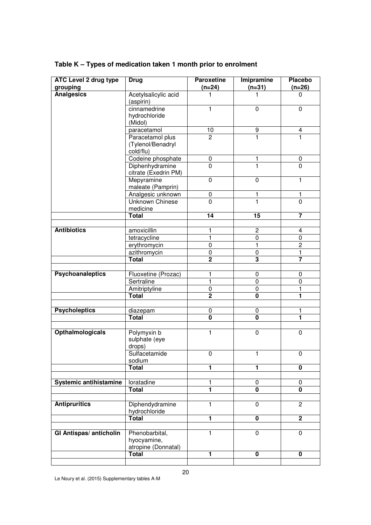| ATC Level 2 drug type         | <b>Drug</b>                                          | <b>Paroxetine</b> | Imipramine              | <b>Placebo</b>          |
|-------------------------------|------------------------------------------------------|-------------------|-------------------------|-------------------------|
| grouping                      |                                                      | $(n=24)$          | $(n=31)$                | $(n=26)$                |
| <b>Analgesics</b>             | Acetylsalicylic acid<br>(aspirin)                    | 1                 | 1                       | 0                       |
|                               | cinnamedrine<br>hydrochloride<br>(Midol)             | 1                 | 0                       | 0                       |
|                               | paracetamol                                          | 10                | 9                       | 4                       |
|                               | Paracetamol plus<br>(Tylenol/Benadryl<br>cold/flu)   | $\overline{2}$    | $\mathbf{1}$            | 1                       |
|                               | Codeine phosphate                                    | 0                 | 1                       | 0                       |
|                               | Diphenhydramine<br>citrate (Exedrin PM)              | 0                 | 1                       | 0                       |
|                               | Mepyramine<br>maleate (Pamprin)                      | 0                 | 0                       | 1                       |
|                               | Analgesic unknown                                    | 0                 | 1                       | 1                       |
|                               | Unknown Chinese<br>medicine                          | $\overline{0}$    | 1                       | $\overline{0}$          |
|                               | Total                                                | 14                | 15                      | $\overline{\mathbf{7}}$ |
|                               |                                                      |                   |                         |                         |
| <b>Antibiotics</b>            | amoxicillin                                          | 1                 | $\overline{2}$          | 4                       |
|                               | tetracycline                                         | $\mathbf{1}$      | $\pmb{0}$               | 0                       |
|                               | erythromycin                                         | $\mathbf 0$       | 1                       | $\overline{2}$          |
|                               | azithromycin                                         | 0                 | $\pmb{0}$               | $\mathbf{1}$            |
|                               | <b>Total</b>                                         | $\overline{2}$    | $\overline{\mathbf{3}}$ | $\overline{7}$          |
|                               |                                                      |                   |                         |                         |
| <b>Psychoanaleptics</b>       | Fluoxetine (Prozac)                                  | $\mathbf{1}$      | 0                       | 0                       |
|                               | Sertraline                                           | $\mathbf{1}$      | 0                       | 0                       |
|                               | Amitriptyline                                        | 0                 | 0                       | 1                       |
|                               | <b>Total</b>                                         | $\overline{2}$    | 0                       | 1                       |
| <b>Psycholeptics</b>          | diazepam                                             | 0                 | 0                       | 1                       |
|                               | <b>Total</b>                                         | $\mathbf 0$       | 0                       | 1                       |
|                               |                                                      |                   |                         |                         |
| Opthalmologicals              | Polymyxin b<br>sulphate (eye<br>drops)               | 1                 | $\mathbf 0$             | 0                       |
|                               | Sulfacetamide<br>sodium                              | 0                 | $\mathbf{1}$            | 0                       |
|                               | <b>Total</b>                                         | 1                 | 1                       | $\overline{\mathbf{0}}$ |
|                               |                                                      |                   |                         |                         |
| <b>Systemic antihistamine</b> | loratadine                                           | 1                 | 0                       | 0                       |
|                               | <b>Total</b>                                         | 1                 | 0                       | 0                       |
| <b>Antipruritics</b>          | Diphendydramine<br>hydrochloride                     | 1                 | 0                       | $\overline{2}$          |
|                               | <b>Total</b>                                         | 1                 | 0                       | $\overline{2}$          |
|                               |                                                      |                   |                         |                         |
| <b>GI Antispas/anticholin</b> | Phenobarbital,<br>hyocyamine,<br>atropine (Donnatal) | 1                 | 0                       | 0                       |
|                               | <b>Total</b>                                         | 1                 | 0                       | 0                       |

**Table K – Types of medication taken 1 month prior to enrolment**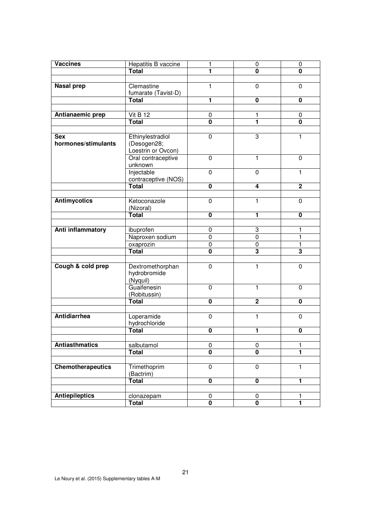| <b>Vaccines</b>       | Hepatitis B vaccine |                              | 0                       | $\pmb{0}$                    |
|-----------------------|---------------------|------------------------------|-------------------------|------------------------------|
|                       | <b>Total</b>        | 1                            | 0                       | 0                            |
|                       |                     |                              |                         |                              |
| <b>Nasal prep</b>     | Clemastine          | 1                            | $\overline{0}$          | $\mathbf 0$                  |
|                       | fumarate (Tavist-D) |                              |                         |                              |
|                       | Total               | 1                            | 0                       | 0                            |
|                       |                     |                              |                         |                              |
|                       | Vit B 12            |                              |                         |                              |
| Antianaemic prep      | <b>Total</b>        | 0<br>$\overline{\mathbf{0}}$ | 1<br>1                  | 0<br>$\overline{\mathbf{0}}$ |
|                       |                     |                              |                         |                              |
|                       |                     |                              |                         |                              |
| <b>Sex</b>            | Ethinylestradiol    | $\mathbf 0$                  | 3                       | 1                            |
| hormones/stimulants   | (Desogen28;         |                              |                         |                              |
|                       | Loestrin or Ovcon)  |                              |                         |                              |
|                       | Oral contraceptive  | $\pmb{0}$                    | 1                       | 0                            |
|                       | unknown             |                              |                         |                              |
|                       | Injectable          | $\mathbf 0$                  | 0                       | 1                            |
|                       | contraceptive (NOS) |                              |                         |                              |
|                       | <b>Total</b>        | $\mathbf 0$                  | 4                       | $\mathbf{2}$                 |
|                       |                     |                              |                         |                              |
| <b>Antimycotics</b>   | Ketoconazole        | $\pmb{0}$                    | 1                       | 0                            |
|                       | (Nizoral)           |                              |                         |                              |
|                       | <b>Total</b>        | $\mathbf 0$                  | 1                       | $\mathbf 0$                  |
|                       |                     |                              |                         |                              |
| Anti inflammatory     | ibuprofen           | $\pmb{0}$                    | 3                       | 1                            |
|                       | Naproxen sodium     | 0                            | $\mathbf 0$             | 1                            |
|                       | oxaprozin           | 0                            | 0                       | 1                            |
|                       | <b>Total</b>        | 0                            | $\overline{\mathbf{3}}$ | $\overline{\mathbf{3}}$      |
|                       |                     |                              |                         |                              |
|                       |                     |                              |                         |                              |
| Cough & cold prep     | Dextromethorphan    | $\pmb{0}$                    | 1                       | 0                            |
|                       | hydrobromide        |                              |                         |                              |
|                       | (Nyquil)            |                              |                         |                              |
|                       | Guaifenesin         | $\mathbf 0$                  | $\mathbf{1}$            | $\mathbf{0}$                 |
|                       | (Robitussin)        |                              |                         |                              |
|                       | <b>Total</b>        | $\mathbf 0$                  | $\overline{2}$          | 0                            |
|                       |                     |                              |                         |                              |
| <b>Antidiarrhea</b>   | Loperamide          | 0                            | 1                       | $\Omega$                     |
|                       | hydrochloride       |                              |                         |                              |
|                       | Total               | 0                            | 1                       | 0                            |
|                       |                     |                              |                         |                              |
| <b>Antiasthmatics</b> | salbutamol          | 0                            | 0                       | 1                            |
|                       | <b>Total</b>        | 0                            | 0                       | 1                            |
|                       |                     |                              |                         |                              |
| Chemotherapeutics     | Trimethoprim        | $\overline{0}$               | $\mathbf 0$             | 1                            |
|                       | (Bactrim)           |                              |                         |                              |
|                       | <b>Total</b>        | $\pmb{0}$                    | $\pmb{0}$               | 1                            |
|                       |                     |                              |                         |                              |
| <b>Antiepileptics</b> | clonazepam          | 0                            | 0                       | 1                            |
|                       | <b>Total</b>        | $\overline{\mathbf{0}}$      | $\overline{\mathbf{0}}$ | 1                            |
|                       |                     |                              |                         |                              |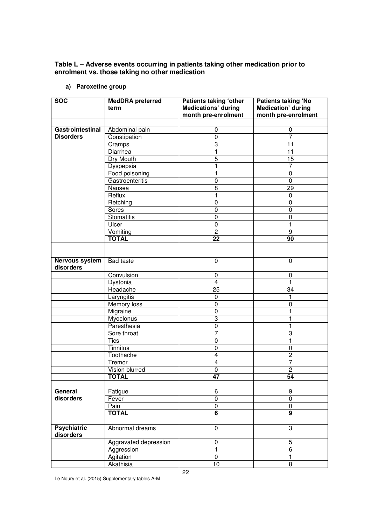### **Table L – Adverse events occurring in patients taking other medication prior to enrolment vs. those taking no other medication**

| <b>SOC</b>                      | <b>MedDRA</b> preferred<br>term | <b>Patients taking 'other</b><br><b>Medications' during</b><br>month pre-enrolment | <b>Patients taking 'No</b><br><b>Medication' during</b><br>month pre-enrolment |
|---------------------------------|---------------------------------|------------------------------------------------------------------------------------|--------------------------------------------------------------------------------|
|                                 |                                 |                                                                                    |                                                                                |
| Gastrointestinal                | Abdominal pain                  | $\mathbf 0$                                                                        | $\pmb{0}$                                                                      |
| <b>Disorders</b>                | Constipation                    | $\pmb{0}$                                                                          | $\overline{7}$                                                                 |
|                                 | Cramps                          | 3                                                                                  | 11                                                                             |
|                                 | Diarrhea                        | 1                                                                                  | 11                                                                             |
|                                 | Dry Mouth                       | $\overline{5}$                                                                     | $\overline{15}$                                                                |
|                                 | Dyspepsia                       | $\mathbf{1}$                                                                       | $\overline{7}$                                                                 |
|                                 | Food poisoning                  | 1                                                                                  | $\pmb{0}$                                                                      |
|                                 | Gastroenteritis                 | $\pmb{0}$                                                                          | $\overline{0}$                                                                 |
|                                 | Nausea                          | 8                                                                                  | 29                                                                             |
|                                 | Reflux                          | 1                                                                                  | $\pmb{0}$                                                                      |
|                                 | Retching                        | $\pmb{0}$                                                                          | $\mathbf 0$                                                                    |
|                                 | Sores                           | $\pmb{0}$                                                                          | $\pmb{0}$                                                                      |
|                                 | <b>Stomatitis</b>               | $\pmb{0}$                                                                          | $\pmb{0}$                                                                      |
|                                 | Ulcer                           | $\mathbf 0$                                                                        | 1                                                                              |
|                                 | Vomiting                        | $\overline{c}$                                                                     | 9                                                                              |
|                                 | <b>TOTAL</b>                    | 22                                                                                 | 90                                                                             |
|                                 |                                 |                                                                                    |                                                                                |
| Nervous system<br>disorders     | <b>Bad taste</b>                | 0                                                                                  | 0                                                                              |
|                                 | Convulsion                      | 0                                                                                  | 0                                                                              |
|                                 | Dystonia                        | $\overline{4}$                                                                     | $\mathbf{1}$                                                                   |
|                                 | Headache                        | 25                                                                                 | 34                                                                             |
|                                 | Laryngitis                      | $\pmb{0}$                                                                          | 1                                                                              |
|                                 | Memory loss                     | $\overline{0}$                                                                     | $\pmb{0}$                                                                      |
|                                 | Migraine                        | $\mathbf 0$                                                                        | 1                                                                              |
|                                 | Myoclonus                       | 3                                                                                  | $\mathbf{1}$                                                                   |
|                                 | Paresthesia                     | 0                                                                                  | 1                                                                              |
|                                 | Sore throat                     | $\overline{7}$                                                                     | $\ensuremath{\mathsf{3}}$                                                      |
|                                 | <b>Tics</b>                     | $\pmb{0}$                                                                          | $\mathbf{1}$                                                                   |
|                                 | Tinnitus                        | 0                                                                                  | 0                                                                              |
|                                 | Toothache                       | 4                                                                                  | $\overline{c}$                                                                 |
|                                 | Tremor                          | 4                                                                                  | 7                                                                              |
|                                 | Vision blurred                  | $\pmb{0}$                                                                          | $\overline{2}$                                                                 |
|                                 | TOTAL                           | 47                                                                                 | 54                                                                             |
|                                 |                                 |                                                                                    |                                                                                |
| General                         | Fatigue                         | 6                                                                                  | $\boldsymbol{9}$                                                               |
| disorders                       | Fever                           | $\pmb{0}$                                                                          | $\pmb{0}$                                                                      |
|                                 | Pain                            | $\pmb{0}$                                                                          | $\pmb{0}$                                                                      |
|                                 | <b>TOTAL</b>                    | $\overline{6}$                                                                     | $\overline{9}$                                                                 |
|                                 |                                 |                                                                                    |                                                                                |
| <b>Psychiatric</b><br>disorders | Abnormal dreams                 | 0                                                                                  | 3                                                                              |
|                                 | Aggravated depression           | $\pmb{0}$                                                                          | $\sqrt{5}$                                                                     |
|                                 | Aggression                      | $\overline{1}$                                                                     | $\overline{6}$                                                                 |
|                                 | Agitation                       | $\pmb{0}$                                                                          | $\mathbf{1}$                                                                   |
|                                 | Akathisia                       | 10                                                                                 | 8                                                                              |

**a) Paroxetine group** 

Le Noury et al. (2015) Supplementary tables A-M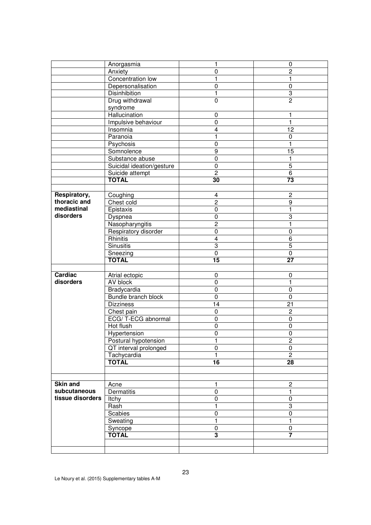|                  | Anorgasmia                | 1                       | $\mathbf 0$     |
|------------------|---------------------------|-------------------------|-----------------|
|                  | Anxiety                   | 0                       | $\overline{c}$  |
|                  | Concentration low         | 1                       | 1               |
|                  | Depersonalisation         | 0                       | $\mathbf 0$     |
|                  | <b>Disinhibition</b>      | 1                       | 3               |
|                  | Drug withdrawal           | $\mathbf 0$             | $\overline{2}$  |
|                  | syndrome                  |                         |                 |
|                  | Hallucination             | $\mathbf 0$             | 1               |
|                  | Impulsive behaviour       | $\mathbf 0$             | $\mathbf{1}$    |
|                  | Insomnia                  | 4                       | 12              |
|                  | Paranoia                  | 1                       | $\mathbf 0$     |
|                  | Psychosis                 | $\overline{0}$          | $\mathbf{1}$    |
|                  | Somnolence                | 9                       | 15              |
|                  | Substance abuse           | $\mathbf 0$             | $\mathbf{1}$    |
|                  | Suicidal ideation/gesture | $\mathbf 0$             | 5               |
|                  | Suicide attempt           | $\overline{c}$          | 6               |
|                  | <b>TOTAL</b>              | 30                      | 73              |
|                  |                           |                         |                 |
| Respiratory,     | Coughing                  | 4                       | $\overline{c}$  |
| thoracic and     | Chest cold                | $\overline{2}$          | 9               |
| mediastinal      | Epistaxis                 | $\mathbf 0$             | $\mathbf{1}$    |
| disorders        | Dyspnea                   | 0                       | 3               |
|                  | Nasopharyngitis           | $\overline{2}$          | $\mathbf{1}$    |
|                  | Respiratory disorder      | $\overline{0}$          | $\pmb{0}$       |
|                  | Rhinitis                  | $\overline{\mathbf{4}}$ | 6               |
|                  | <b>Sinusitis</b>          | 3                       | $\overline{5}$  |
|                  | Sneezing                  | 0                       | $\pmb{0}$       |
|                  |                           |                         |                 |
|                  | <b>TOTAL</b>              | 15                      | $\overline{27}$ |
|                  |                           |                         |                 |
| <b>Cardiac</b>   | Atrial ectopic            | $\mathbf 0$             | $\mathbf 0$     |
| disorders        | AV block                  | $\overline{0}$          | $\overline{1}$  |
|                  | Bradycardia               | $\pmb{0}$               | $\mathbf 0$     |
|                  | Bundle branch block       | $\pmb{0}$               | $\mathbf 0$     |
|                  | <b>Dizziness</b>          | 14                      | 21              |
|                  | Chest pain                | 0                       | $\overline{c}$  |
|                  | ECG/T-ECG abnormal        | 0                       | $\mathbf 0$     |
|                  | Hot flush                 | 0                       | 0               |
|                  | Hypertension              | 0                       | $\mathbf 0$     |
|                  | Postural hypotension      | 1                       | 2               |
|                  | QT interval prolonged     | $\pmb{0}$               | $\mathbf 0$     |
|                  | Tachycardia               | 1                       | $\overline{c}$  |
|                  | <b>TOTAL</b>              | $\overline{16}$         | $\overline{28}$ |
|                  |                           |                         |                 |
|                  |                           |                         |                 |
| <b>Skin and</b>  | Acne                      | 1                       | $\overline{c}$  |
| subcutaneous     | Dermatitis                | 0                       | $\mathbf{1}$    |
| tissue disorders | Itchy                     | $\pmb{0}$               | $\pmb{0}$       |
|                  | Rash                      | $\mathbf{1}$            | 3               |
|                  | Scabies                   | $\mathbf 0$             | $\pmb{0}$       |
|                  | Sweating                  | $\mathbf{1}$            | $\mathbf{1}$    |
|                  | Syncope                   | $\pmb{0}$               | $\mathbf 0$     |
|                  | <b>TOTAL</b>              | 3                       | $\overline{7}$  |
|                  |                           |                         |                 |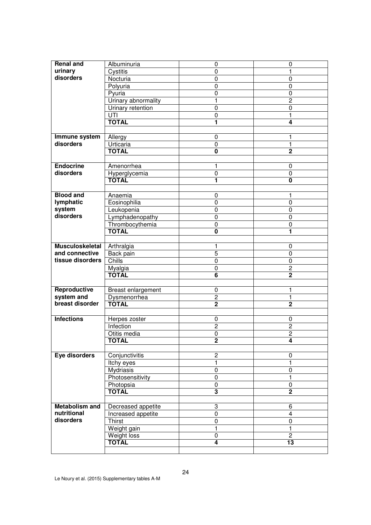| <b>Renal and</b>           | Albuminuria                     | $\mathbf 0$                      | $\mathbf 0$                      |
|----------------------------|---------------------------------|----------------------------------|----------------------------------|
| urinary                    | Cystitis                        | $\pmb{0}$                        | $\mathbf{1}$                     |
| disorders                  | Nocturia                        | 0                                | $\mathbf 0$                      |
|                            | Polyuria                        | 0                                | $\mathbf 0$                      |
|                            | Pyuria                          | 0                                | $\mathbf 0$                      |
|                            | Urinary abnormality             | 1                                | $\overline{c}$                   |
|                            | Urinary retention               | 0                                | $\mathbf 0$                      |
|                            | UTI                             | 0                                | 1                                |
|                            | <b>TOTAL</b>                    | 1                                | 4                                |
|                            |                                 |                                  |                                  |
| Immune system              | Allergy                         | $\pmb{0}$                        | 1                                |
| disorders                  | Urticaria                       | $\pmb{0}$                        | 1                                |
|                            | <b>TOTAL</b>                    | $\mathbf{0}$                     | $\overline{2}$                   |
|                            |                                 |                                  |                                  |
| <b>Endocrine</b>           | Amenorrhea                      | 1                                | 0                                |
| disorders                  | Hyperglycemia                   | $\pmb{0}$                        | $\mathbf 0$                      |
|                            | <b>TOTAL</b>                    | 1                                | $\overline{\mathbf{0}}$          |
|                            |                                 |                                  |                                  |
| <b>Blood and</b>           | Anaemia                         | $\mathbf 0$                      | $\mathbf{1}$                     |
| lymphatic                  | Eosinophilia                    | $\pmb{0}$                        | $\mathbf 0$                      |
| system                     | Leukopenia                      | $\pmb{0}$                        | $\mathbf 0$                      |
| disorders                  | Lymphadenopathy                 | $\pmb{0}$                        | $\mathbf 0$                      |
|                            |                                 |                                  |                                  |
|                            | Thrombocythemia<br><b>TOTAL</b> | $\pmb{0}$<br>0                   | $\mathbf 0$<br>1                 |
|                            |                                 |                                  |                                  |
| <b>Musculoskeletal</b>     |                                 |                                  |                                  |
| and connective             | Arthralgia                      | 1                                | 0                                |
| tissue disorders           | Back pain<br><b>Chills</b>      | 5<br>$\mathbf 0$                 | $\mathbf 0$                      |
|                            |                                 |                                  | $\mathbf 0$                      |
|                            | Myalgia<br><b>TOTAL</b>         | 0                                | $\overline{2}$<br>$\overline{2}$ |
|                            |                                 | $\overline{6}$                   |                                  |
|                            |                                 |                                  |                                  |
| Reproductive<br>system and | Breast enlargement              | 0<br>$\overline{2}$              | 1<br>1                           |
| breast disorder            | Dysmenorrhea<br><b>TOTAL</b>    | $\overline{2}$                   | $\overline{2}$                   |
|                            |                                 |                                  |                                  |
| <b>Infections</b>          |                                 |                                  |                                  |
|                            | Herpes zoster                   | $\mathbf 0$                      | $\mathbf 0$                      |
|                            | Infection<br>Otitis media       | $\overline{c}$<br>$\overline{0}$ | $\overline{c}$<br>$\overline{2}$ |
|                            | <b>TOTAL</b>                    | $\mathbf 2$                      | 4                                |
|                            |                                 |                                  |                                  |
| Eye disorders              | Conjunctivitis                  |                                  |                                  |
|                            |                                 | $\overline{c}$                   | 0                                |
|                            | <b>Itchy</b> eyes               | 1                                | 1                                |
|                            | <b>Mydriasis</b>                | 0                                | 0                                |
|                            | Photosensitivity                | 0                                | $\mathbf{1}$                     |
|                            | Photopsia                       | $\pmb{0}$                        | 0                                |
|                            | <b>TOTAL</b>                    | 3                                | $\mathbf 2$                      |
|                            |                                 |                                  |                                  |
| <b>Metabolism and</b>      | Decreased appetite              | 3                                | 6                                |
| nutritional                | Increased appetite              | $\pmb{0}$                        | $\overline{4}$                   |
| disorders                  | <b>Thirst</b>                   | $\pmb{0}$                        | $\pmb{0}$                        |
|                            | Weight gain                     | 1                                | 1                                |
|                            | Weight loss                     | 0                                | $\overline{2}$                   |
|                            | <b>TOTAL</b>                    | $\overline{\mathbf{4}}$          | $\overline{13}$                  |
|                            |                                 |                                  |                                  |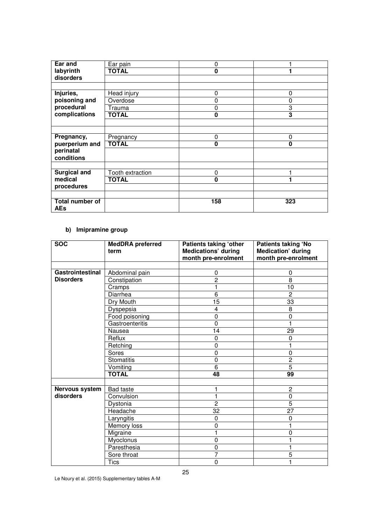| Ear and                       | Ear pain         | 0   |          |
|-------------------------------|------------------|-----|----------|
| labyrinth                     | <b>TOTAL</b>     | 0   |          |
| disorders                     |                  |     |          |
|                               |                  |     |          |
| Injuries,                     | Head injury      | 0   | 0        |
| poisoning and                 | Overdose         | 0   | 0        |
| procedural                    | Trauma           | 0   | 3        |
| complications                 | <b>TOTAL</b>     | 0   | 3        |
|                               |                  |     |          |
|                               |                  |     |          |
| Pregnancy,                    | Pregnancy        | 0   | 0        |
| puerperium and                | <b>TOTAL</b>     | 0   | $\bf{0}$ |
| perinatal                     |                  |     |          |
| conditions                    |                  |     |          |
|                               |                  |     |          |
| <b>Surgical and</b>           | Tooth extraction | 0   |          |
| medical                       | <b>TOTAL</b>     | 0   |          |
| procedures                    |                  |     |          |
|                               |                  |     |          |
| Total number of<br><b>AEs</b> |                  | 158 | 323      |

## **b) Imipramine group**

| <b>SOC</b>       | <b>MedDRA</b> preferred<br>term | <b>Patients taking 'other</b><br><b>Medications' during</b><br>month pre-enrolment | <b>Patients taking 'No</b><br><b>Medication' during</b><br>month pre-enrolment |
|------------------|---------------------------------|------------------------------------------------------------------------------------|--------------------------------------------------------------------------------|
|                  |                                 |                                                                                    |                                                                                |
| Gastrointestinal | Abdominal pain                  | 0                                                                                  | 0                                                                              |
| <b>Disorders</b> | Constipation                    | $\overline{2}$                                                                     | 8                                                                              |
|                  | Cramps                          | 1                                                                                  | 10                                                                             |
|                  | Diarrhea                        | 6                                                                                  | $\overline{2}$                                                                 |
|                  | Dry Mouth                       | $\overline{15}$                                                                    | 33                                                                             |
|                  | Dyspepsia                       | 4                                                                                  | 8                                                                              |
|                  | Food poisoning                  | $\mathbf 0$                                                                        | $\mathbf 0$                                                                    |
|                  | Gastroenteritis                 | 0                                                                                  |                                                                                |
|                  | Nausea                          | 14                                                                                 | 29                                                                             |
|                  | Reflux                          | $\mathbf 0$                                                                        | $\Omega$                                                                       |
|                  | Retching                        | 0                                                                                  |                                                                                |
|                  | Sores                           | $\overline{0}$                                                                     | $\mathbf 0$                                                                    |
|                  | <b>Stomatitis</b>               | $\mathbf 0$                                                                        | $\overline{c}$                                                                 |
|                  | Vomiting                        | 6                                                                                  | $\overline{5}$                                                                 |
|                  | <b>TOTAL</b>                    | 48                                                                                 | 99                                                                             |
|                  |                                 |                                                                                    |                                                                                |
| Nervous system   | <b>Bad taste</b>                |                                                                                    | $\overline{c}$                                                                 |
| disorders        | Convulsion                      |                                                                                    | $\mathbf 0$                                                                    |
|                  | Dystonia                        | $\overline{2}$                                                                     | 5                                                                              |
|                  | Headache                        | 32                                                                                 | $\overline{27}$                                                                |
|                  | Laryngitis                      | 0                                                                                  | 0                                                                              |
|                  | Memory loss                     | 0                                                                                  | 1                                                                              |
|                  | Migraine                        |                                                                                    | 0                                                                              |
|                  | Myoclonus                       | $\mathbf 0$                                                                        |                                                                                |
|                  | Paresthesia                     | $\mathbf 0$                                                                        | 1                                                                              |
|                  | Sore throat                     | 7                                                                                  | $\overline{5}$                                                                 |
|                  | <b>Tics</b>                     | 0                                                                                  |                                                                                |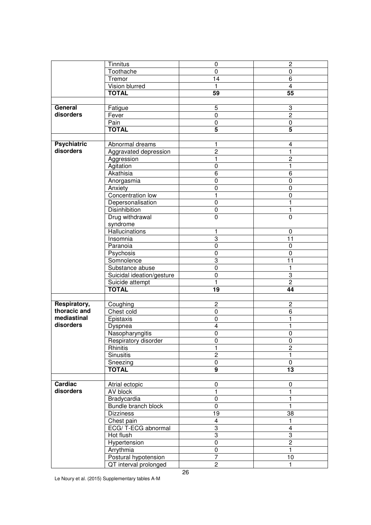|                    | Tinnitus                  | $\pmb{0}$               | $\overline{c}$          |
|--------------------|---------------------------|-------------------------|-------------------------|
|                    | Toothache                 | 0                       | 0                       |
|                    | Tremor                    | 14                      | 6                       |
|                    | Vision blurred            | 1                       | 4                       |
|                    | <b>TOTAL</b>              | $\overline{59}$         | 55                      |
|                    |                           |                         |                         |
| General            | Fatigue                   | 5                       | 3                       |
| disorders          | Fever                     | $\pmb{0}$               | $\overline{2}$          |
|                    | Pain                      | $\overline{0}$          | $\overline{0}$          |
|                    | <b>TOTAL</b>              | $\overline{\mathbf{5}}$ | $\overline{\mathbf{5}}$ |
|                    |                           |                         |                         |
| <b>Psychiatric</b> | Abnormal dreams           | 1                       | $\overline{\mathbf{4}}$ |
| disorders          | Aggravated depression     | $\overline{2}$          | $\mathbf{1}$            |
|                    | Aggression                | 1                       | $\overline{c}$          |
|                    | Agitation                 | 0                       | $\mathbf{1}$            |
|                    | Akathisia                 | $\overline{6}$          | $\overline{6}$          |
|                    | Anorgasmia                | 0                       | $\pmb{0}$               |
|                    | Anxiety                   | $\pmb{0}$               | $\pmb{0}$               |
|                    | Concentration low         | 1                       | $\pmb{0}$               |
|                    | Depersonalisation         | 0                       | 1                       |
|                    | Disinhibition             | 0                       | 1                       |
|                    | Drug withdrawal           | $\pmb{0}$               | 0                       |
|                    | syndrome                  |                         |                         |
|                    | <b>Hallucinations</b>     | 1                       | $\pmb{0}$               |
|                    | Insomnia                  | 3                       | $\overline{11}$         |
|                    | Paranoia                  | $\overline{0}$          | $\pmb{0}$               |
|                    | Psychosis                 | 0                       | $\pmb{0}$               |
|                    | Somnolence                | 3                       | $\overline{11}$         |
|                    | Substance abuse           | $\pmb{0}$               | 1                       |
|                    | Suicidal ideation/gesture | $\pmb{0}$               | 3                       |
|                    | Suicide attempt           | $\blacksquare$          | $\overline{2}$          |
|                    | <b>TOTAL</b>              | $\overline{19}$         | 44                      |
|                    |                           |                         |                         |
| Respiratory,       | Coughing                  | $\overline{c}$          | $\overline{c}$          |
| thoracic and       | Chest cold                | $\pmb{0}$               | 6                       |
| mediastinal        | Epistaxis                 | $\pmb{0}$               | 1                       |
| disorders          | Dyspnea                   | 4                       | 1                       |
|                    | Nasopharyngitis           | 0                       | 0                       |
|                    | Respiratory disorder      | 0                       | 0                       |
|                    | Rhinitis                  | 1                       | $\overline{2}$          |
|                    | <b>Sinusitis</b>          | $\overline{c}$          | 1                       |
|                    | Sneezing                  | $\pmb{0}$               | 0                       |
|                    | <b>TOTAL</b>              | $\overline{9}$          | $\overline{13}$         |
|                    |                           |                         |                         |
| Cardiac            | Atrial ectopic            | $\pmb{0}$               | 0                       |
| disorders          | AV block                  | $\mathbf{1}$            | $\mathbf{1}$            |
|                    | Bradycardia               | $\pmb{0}$               | 1                       |
|                    | Bundle branch block       | $\pmb{0}$               | $\mathbf{1}$            |
|                    | <b>Dizziness</b>          | $\overline{19}$         | 38                      |
|                    | Chest pain                | $\overline{4}$          | $\mathbf{1}$            |
|                    | ECG/T-ECG abnormal        | 3                       | 4                       |
|                    | Hot flush                 | $\overline{3}$          | 3                       |
|                    | Hypertension              | $\pmb{0}$               | $\mathbf{2}$            |
|                    | Arrythmia                 | $\pmb{0}$               | $\mathbf{1}$            |
|                    | Postural hypotension      | $\overline{7}$          | 10                      |
|                    | QT interval prolonged     | $\overline{2}$          |                         |
|                    |                           |                         |                         |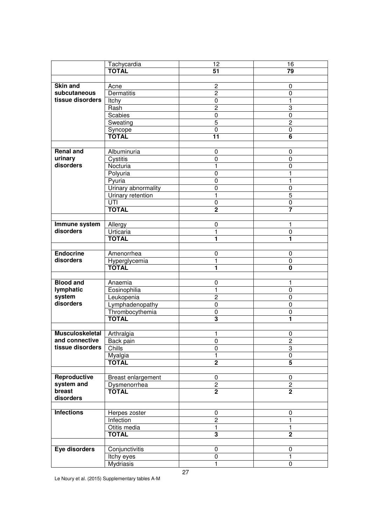|                        | Tachycardia         | 12                      | 16                      |
|------------------------|---------------------|-------------------------|-------------------------|
|                        | <b>TOTAL</b>        | $\overline{51}$         | 79                      |
|                        |                     |                         |                         |
|                        |                     |                         |                         |
| <b>Skin and</b>        | Acne                | $\overline{c}$          | 0                       |
| subcutaneous           | <b>Dermatitis</b>   | $\overline{2}$          | 0                       |
| tissue disorders       | Itchy               | 0                       | 1                       |
|                        | Rash                | $\overline{c}$          | 3                       |
|                        | Scabies             | $\boldsymbol{0}$        | 0                       |
|                        | Sweating            | 5                       | $\overline{2}$          |
|                        |                     | 0                       | 0                       |
|                        | Syncope<br>TOTAL    | $\overline{11}$         | $\overline{6}$          |
|                        |                     |                         |                         |
| <b>Renal and</b>       | Albuminuria         | 0                       | 0                       |
| urinary                |                     | 0                       |                         |
| disorders              | Cystitis            |                         | 0                       |
|                        | Nocturia            | 1                       | 0                       |
|                        | Polyuria            | $\mathbf 0$             | 1                       |
|                        | Pyuria              | $\mathbf 0$             | $\mathbf{1}$            |
|                        | Urinary abnormality | $\mathbf 0$             | $\mathbf 0$             |
|                        | Urinary retention   | 1                       | $\overline{5}$          |
|                        | UTI                 | 0                       | 0                       |
|                        | <b>TOTAL</b>        | $\overline{2}$          |                         |
|                        |                     |                         |                         |
| Immune system          | Allergy             | $\mathbf 0$             | 1                       |
| disorders              | Urticaria           | 1                       | 0                       |
|                        | <b>TOTAL</b>        | 1                       | 1                       |
|                        |                     |                         |                         |
| <b>Endocrine</b>       |                     |                         |                         |
|                        | Amenorrhea          | 0                       | 0                       |
| disorders              | Hyperglycemia       | 1                       | 0                       |
|                        |                     | 1                       | $\overline{\mathbf{0}}$ |
|                        |                     |                         |                         |
| <b>Blood and</b>       | Anaemia             | $\pmb{0}$               | 1                       |
| lymphatic              | Eosinophilia        | 1                       | $\mathbf 0$             |
| system                 | Leukopenia          | $\overline{2}$          | 0                       |
| disorders              | Lymphadenopathy     | $\pmb{0}$               | $\pmb{0}$               |
|                        | Thrombocythemia     | $\pmb{0}$               | $\pmb{0}$               |
|                        | <b>TOTAL</b>        | $\overline{\mathbf{3}}$ | 1                       |
|                        |                     |                         |                         |
| <b>Musculoskeletal</b> | Arthralgia          | 1                       | 0                       |
| and connective         | Back pain           |                         |                         |
| tissue disorders       |                     | 0<br>$\mathbf 0$        | 2<br>3                  |
|                        | Chills              |                         |                         |
|                        | Myalgia             | 1                       | 0                       |
|                        | <b>TOTAL</b>        | $\overline{2}$          | $\overline{5}$          |
|                        |                     |                         |                         |
| Reproductive           | Breast enlargement  | 0                       | 0                       |
| system and             | Dysmenorrhea        | $\overline{2}$          | $\overline{2}$          |
| breast                 | <b>TOTAL</b>        | $\overline{2}$          | $\overline{2}$          |
| disorders              |                     |                         |                         |
|                        |                     |                         |                         |
| <b>Infections</b>      | Herpes zoster       | $\pmb{0}$               | 0                       |
|                        | Infection           | $\overline{c}$          | $\mathbf{1}$            |
|                        | Otitis media        | $\mathbf{1}$            | 1                       |
|                        | <b>TOTAL</b>        | 3                       | $\overline{2}$          |
|                        |                     |                         |                         |
| Eye disorders          | Conjunctivitis      | $\pmb{0}$               | 0                       |
|                        |                     | 0                       | 1                       |
|                        | Itchy eyes          |                         |                         |
|                        | Mydriasis           | 1                       | 0                       |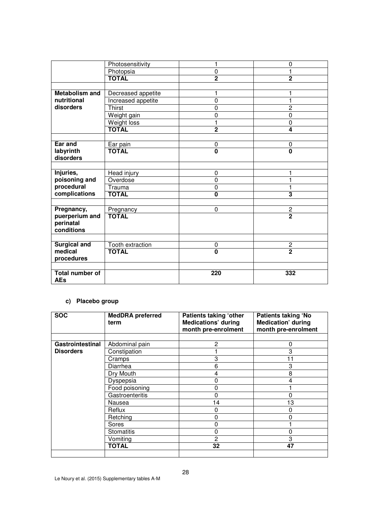|                        | Photosensitivity   | 1                       | 0                       |
|------------------------|--------------------|-------------------------|-------------------------|
|                        | Photopsia          | $\mathbf 0$             | 1                       |
|                        | <b>TOTAL</b>       | $\overline{2}$          | $\overline{2}$          |
|                        |                    |                         |                         |
| <b>Metabolism and</b>  | Decreased appetite | 1                       | 1                       |
| nutritional            | Increased appetite | $\mathbf 0$             | 1                       |
| disorders              | Thirst             | $\mathbf 0$             | $\overline{c}$          |
|                        | Weight gain        | $\mathbf 0$             | 0                       |
|                        | <b>Weight loss</b> | $\overline{1}$          | $\mathbf 0$             |
|                        | <b>TOTAL</b>       | $\overline{2}$          | 4                       |
|                        |                    |                         |                         |
| Ear and                | Ear pain           | 0                       | 0                       |
| labyrinth              | <b>TOTAL</b>       | $\overline{\mathbf{0}}$ | $\overline{\mathbf{0}}$ |
| disorders              |                    |                         |                         |
|                        |                    |                         |                         |
| Injuries,              | Head injury        | $\mathbf 0$             | 1                       |
| poisoning and          | Overdose           | $\mathbf 0$             | 1                       |
| procedural             | Trauma             | $\mathbf 0$             | 1                       |
| complications          | <b>TOTAL</b>       | $\overline{\mathbf{0}}$ | $\overline{\mathbf{3}}$ |
|                        |                    |                         |                         |
| Pregnancy,             | Pregnancy          | $\mathbf 0$             | $\overline{c}$          |
| puerperium and         | <b>TOTAL</b>       |                         | $\overline{2}$          |
| perinatal              |                    |                         |                         |
| conditions             |                    |                         |                         |
|                        |                    |                         |                         |
| <b>Surgical and</b>    | Tooth extraction   | 0                       | $\overline{c}$          |
| medical                | <b>TOTAL</b>       | $\overline{\mathbf{0}}$ | $\overline{2}$          |
| procedures             |                    |                         |                         |
|                        |                    |                         |                         |
| <b>Total number of</b> |                    | 220                     | 332                     |
| <b>AEs</b>             |                    |                         |                         |

#### **c) Placebo group**

| <b>SOC</b>       | <b>MedDRA</b> preferred<br>term | Patients taking 'other<br><b>Medications' during</b><br>month pre-enrolment | <b>Patients taking 'No</b><br><b>Medication' during</b><br>month pre-enrolment |  |  |
|------------------|---------------------------------|-----------------------------------------------------------------------------|--------------------------------------------------------------------------------|--|--|
|                  |                                 |                                                                             |                                                                                |  |  |
| Gastrointestinal | Abdominal pain                  | $\overline{2}$                                                              | 0                                                                              |  |  |
| <b>Disorders</b> | Constipation                    |                                                                             | 3                                                                              |  |  |
|                  | Cramps                          | 3                                                                           |                                                                                |  |  |
|                  | Diarrhea                        | 6                                                                           | 3                                                                              |  |  |
|                  | Dry Mouth                       | 4                                                                           | 8                                                                              |  |  |
|                  | Dyspepsia                       | 0                                                                           | 4                                                                              |  |  |
|                  | Food poisoning                  | 0                                                                           |                                                                                |  |  |
|                  | Gastroenteritis                 | 0                                                                           | 0                                                                              |  |  |
|                  | Nausea                          | 14                                                                          | 13                                                                             |  |  |
|                  | Reflux                          | 0                                                                           | 0                                                                              |  |  |
|                  | Retching                        | 0                                                                           | ი                                                                              |  |  |
|                  | Sores                           | 0                                                                           |                                                                                |  |  |
|                  | <b>Stomatitis</b>               | 0                                                                           | 0                                                                              |  |  |
|                  | Vomiting                        | $\mathbf{2}$                                                                | 3                                                                              |  |  |
|                  | <b>TOTAL</b>                    | 32                                                                          | 47                                                                             |  |  |
|                  |                                 |                                                                             |                                                                                |  |  |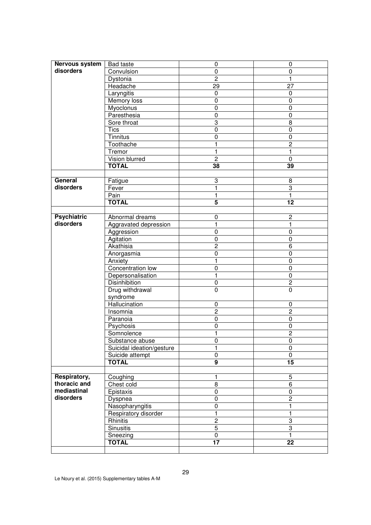| Nervous system     | <b>Bad taste</b>          | 0                            | 0               |  |  |
|--------------------|---------------------------|------------------------------|-----------------|--|--|
| disorders          | Convulsion                | $\pmb{0}$                    | $\mathbf 0$     |  |  |
|                    | Dystonia                  | $\overline{2}$               | 1               |  |  |
|                    | Headache                  | 29                           | 27              |  |  |
|                    | Laryngitis                | 0                            | 0               |  |  |
|                    | Memory loss               | 0                            | 0               |  |  |
|                    | Myoclonus                 | 0                            | 0               |  |  |
|                    | Paresthesia               | 0                            | 0               |  |  |
|                    | Sore throat               | 3                            | 8               |  |  |
|                    | Tics                      | $\overline{0}$               | $\overline{0}$  |  |  |
|                    | Tinnitus                  | $\mathbf 0$                  | 0               |  |  |
|                    | Toothache                 | 1                            | $\overline{2}$  |  |  |
|                    | Tremor                    | 1                            | $\mathbf{1}$    |  |  |
|                    | Vision blurred            | $\overline{2}$               | $\mathbf 0$     |  |  |
|                    | <b>TOTAL</b>              | 38                           | 39              |  |  |
|                    |                           |                              |                 |  |  |
| General            | Fatigue                   | 3                            | $\overline{8}$  |  |  |
| disorders          | Fever                     | 1                            | 3               |  |  |
|                    | Pain                      | $\mathbf{1}$                 | $\mathbf{1}$    |  |  |
|                    | <b>TOTAL</b>              | 5                            | 12              |  |  |
|                    |                           |                              |                 |  |  |
| <b>Psychiatric</b> | Abnormal dreams           | 0                            | $\overline{2}$  |  |  |
| disorders          | Aggravated depression     | 1                            | 1               |  |  |
|                    | Aggression                | $\mathbf 0$                  | $\mathbf 0$     |  |  |
|                    | Agitation                 | 0                            | 0               |  |  |
|                    | Akathisia                 | $\overline{2}$               | 6               |  |  |
|                    | Anorgasmia                | 0                            | 0               |  |  |
|                    | Anxiety                   | 1                            | $\mathbf 0$     |  |  |
|                    | Concentration low         | $\boldsymbol{0}$             | $\overline{0}$  |  |  |
|                    | Depersonalisation         | 1                            | 0               |  |  |
|                    | <b>Disinhibition</b>      | $\pmb{0}$                    | $\overline{2}$  |  |  |
|                    | Drug withdrawal           | $\pmb{0}$                    | $\mathbf 0$     |  |  |
|                    | syndrome                  |                              |                 |  |  |
|                    | Hallucination             | $\mathbf 0$                  | $\mathbf 0$     |  |  |
|                    | Insomnia                  | $\overline{c}$               | $\overline{2}$  |  |  |
|                    | Paranoia                  | $\pmb{0}$                    | $\pmb{0}$       |  |  |
|                    | Psychosis                 | $\pmb{0}$                    | $\pmb{0}$       |  |  |
|                    | Somnolence                | 1                            | $\overline{2}$  |  |  |
|                    | Substance abuse           | 0                            | $\pmb{0}$       |  |  |
|                    | Suicidal ideation/gesture | 1                            | $\pmb{0}$       |  |  |
|                    | Suicide attempt           | 0                            | 0               |  |  |
|                    | <b>TOTAL</b>              | $\overline{9}$               | 15              |  |  |
|                    |                           |                              |                 |  |  |
| Respiratory,       | Coughing                  | 1                            | 5               |  |  |
| thoracic and       | Chest cold                | 8                            | 6               |  |  |
| mediastinal        | Epistaxis                 | $\pmb{0}$                    | $\pmb{0}$       |  |  |
| disorders          | Dyspnea                   | 0                            | $\overline{2}$  |  |  |
|                    | Nasopharyngitis           | 0                            | 1               |  |  |
|                    | Respiratory disorder      | 1                            | $\mathbf{1}$    |  |  |
|                    | Rhinitis                  | $\overline{2}$               | 3               |  |  |
|                    | Sinusitis                 | $\overline{5}$               | $\overline{3}$  |  |  |
|                    |                           |                              | $\mathbf{1}$    |  |  |
|                    | Sneezing<br><b>TOTAL</b>  | $\pmb{0}$<br>$\overline{17}$ | $\overline{22}$ |  |  |
|                    |                           |                              |                 |  |  |
|                    |                           |                              |                 |  |  |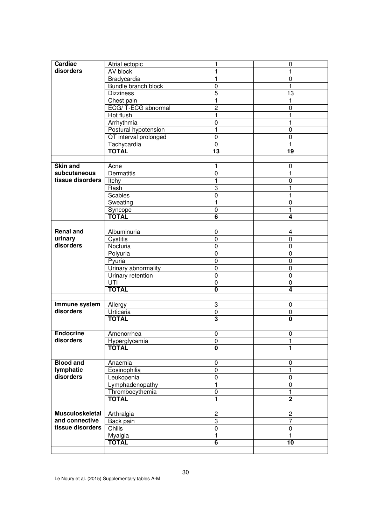| Cardiac                | Atrial ectopic        | 1                       | $\mathbf 0$             |  |  |  |
|------------------------|-----------------------|-------------------------|-------------------------|--|--|--|
| disorders              | AV block              | $\mathbf{1}$            | $\mathbf{1}$            |  |  |  |
|                        | Bradycardia           | 1                       | $\mathbf 0$             |  |  |  |
|                        | Bundle branch block   | 0                       | 1                       |  |  |  |
|                        | <b>Dizziness</b>      | 5                       | $\overline{13}$         |  |  |  |
|                        | Chest pain            | 1                       | $\mathbf{1}$            |  |  |  |
|                        | ECG/T-ECG abnormal    | $\overline{c}$          | 0                       |  |  |  |
|                        | Hot flush             | 1                       | 1                       |  |  |  |
|                        | Arrhythmia            | 0                       | 1                       |  |  |  |
|                        | Postural hypotension  | 1                       | 0                       |  |  |  |
|                        | QT interval prolonged | 0                       | 0                       |  |  |  |
|                        | Tachycardia           | $\pmb{0}$               | $\mathbf{1}$            |  |  |  |
|                        | <b>TOTAL</b>          | $\overline{13}$         | $\overline{19}$         |  |  |  |
|                        |                       |                         |                         |  |  |  |
| <b>Skin and</b>        | Acne                  | 1                       | $\pmb{0}$               |  |  |  |
| subcutaneous           | <b>Dermatitis</b>     | $\pmb{0}$               | $\overline{1}$          |  |  |  |
| tissue disorders       | Itchy                 | $\mathbf{1}$            | $\mathbf 0$             |  |  |  |
|                        | Rash                  | 3                       | $\mathbf{1}$            |  |  |  |
|                        | Scabies               | 0                       | $\mathbf{1}$            |  |  |  |
|                        | Sweating              | $\mathbf{1}$            | $\mathbf 0$             |  |  |  |
|                        | Syncope               | $\pmb{0}$               | $\mathbf{1}$            |  |  |  |
|                        | <b>TOTAL</b>          | 6                       | 4                       |  |  |  |
|                        |                       |                         |                         |  |  |  |
| <b>Renal and</b>       | Albuminuria           | 0                       | 4                       |  |  |  |
| urinary                | Cystitis              | 0                       | 0                       |  |  |  |
| disorders              | Nocturia              | 0                       | 0                       |  |  |  |
|                        | Polyuria              | 0                       | 0                       |  |  |  |
|                        | Pyuria                | 0                       | 0                       |  |  |  |
|                        | Urinary abnormality   | 0                       | $\mathbf 0$             |  |  |  |
|                        | Urinary retention     | 0                       | $\pmb{0}$               |  |  |  |
|                        | UTI                   | 0                       | $\pmb{0}$               |  |  |  |
|                        | <b>TOTAL</b>          | 0                       | 4                       |  |  |  |
|                        |                       |                         |                         |  |  |  |
| Immune system          | Allergy               | 3                       | 0                       |  |  |  |
| disorders              | Urticaria             | $\pmb{0}$               | $\mathbf 0$             |  |  |  |
|                        | <b>TOTAL</b>          | $\overline{\mathbf{3}}$ | $\overline{\mathbf{0}}$ |  |  |  |
|                        |                       |                         |                         |  |  |  |
| <b>Endocrine</b>       | Amenorrhea            | $\pmb{0}$               | $\pmb{0}$               |  |  |  |
| disorders              | Hyperglycemia         | 0                       | 1                       |  |  |  |
|                        | <b>TOTAL</b>          | $\overline{\mathbf{0}}$ | 1                       |  |  |  |
|                        |                       |                         |                         |  |  |  |
| <b>Blood and</b>       | Anaemia               | 0                       | 0                       |  |  |  |
| lymphatic              | Eosinophilia          | $\pmb{0}$               | 1                       |  |  |  |
| disorders              | Leukopenia            | 0                       | 0                       |  |  |  |
|                        | Lymphadenopathy       | 1                       | $\mathbf 0$             |  |  |  |
|                        | Thrombocythemia       | 0                       | 1                       |  |  |  |
|                        | <b>TOTAL</b>          | 1                       | $\overline{2}$          |  |  |  |
|                        |                       |                         |                         |  |  |  |
| <b>Musculoskeletal</b> | Arthralgia            | $\overline{c}$          | $\overline{c}$          |  |  |  |
| and connective         | Back pain             | 3                       | $\overline{7}$          |  |  |  |
| tissue disorders       | Chills                | 0                       | 0                       |  |  |  |
|                        | Myalgia               | 1                       | 1                       |  |  |  |
|                        | <b>TOTAL</b>          | 6                       | 10                      |  |  |  |
|                        |                       |                         |                         |  |  |  |
|                        |                       |                         |                         |  |  |  |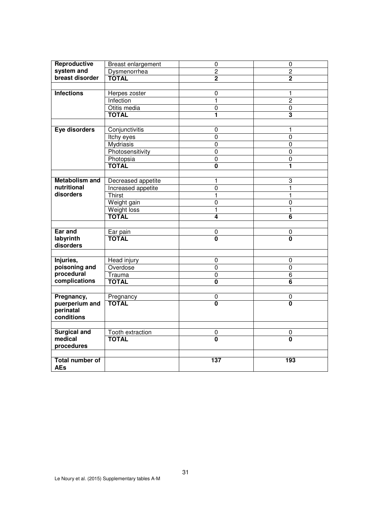| Reproductive           | Breast enlargement      | $\pmb{0}$               | $\pmb{0}$               |  |  |
|------------------------|-------------------------|-------------------------|-------------------------|--|--|
| system and             | Dysmenorrhea            | $\overline{2}$          | $\overline{2}$          |  |  |
| breast disorder        | <b>TOTAL</b>            | $\overline{2}$          | $\overline{2}$          |  |  |
|                        |                         |                         |                         |  |  |
| <b>Infections</b>      |                         | $\mathbf 0$             |                         |  |  |
|                        | Herpes zoster           |                         | 1<br>$\overline{2}$     |  |  |
|                        | Infection               | $\mathbf{1}$            |                         |  |  |
|                        | Otitis media            | $\mathbf 0$             | $\pmb{0}$               |  |  |
|                        | <b>TOTAL</b>            | 1                       | 3                       |  |  |
|                        |                         |                         |                         |  |  |
| Eye disorders          | Conjunctivitis          | $\pmb{0}$               | $\mathbf{1}$            |  |  |
|                        | Itchy eyes              | $\overline{0}$          | $\overline{0}$          |  |  |
|                        | Mydriasis               | $\pmb{0}$               | $\mathbf 0$             |  |  |
|                        | Photosensitivity        | $\pmb{0}$               | $\pmb{0}$               |  |  |
|                        | Photopsia               | $\mathbf 0$             | $\pmb{0}$               |  |  |
|                        | <b>TOTAL</b>            | $\overline{\mathbf{0}}$ | 1                       |  |  |
|                        |                         |                         |                         |  |  |
| <b>Metabolism and</b>  | Decreased appetite      | $\mathbf{1}$            | 3                       |  |  |
| nutritional            | Increased appetite      | $\overline{0}$          | $\overline{1}$          |  |  |
| disorders              | Thirst                  | $\mathbf{1}$            | 1                       |  |  |
|                        | Weight gain             | 0                       | 0                       |  |  |
|                        | Weight loss             | 1                       | 1                       |  |  |
|                        | <b>TOTAL</b>            | 4                       | $\overline{\mathbf{6}}$ |  |  |
|                        |                         |                         |                         |  |  |
| Ear and                | Ear pain                | $\pmb{0}$               | $\pmb{0}$               |  |  |
| labyrinth              | <b>TOTAL</b>            | $\overline{\mathbf{0}}$ | $\overline{\mathbf{0}}$ |  |  |
| disorders              |                         |                         |                         |  |  |
|                        |                         |                         |                         |  |  |
| Injuries,              | Head injury             | $\mathbf 0$             | $\mathbf 0$             |  |  |
| poisoning and          | Overdose                | $\overline{0}$          | $\overline{0}$          |  |  |
| procedural             | Trauma                  | $\pmb{0}$               | $\overline{6}$          |  |  |
| complications          | <b>TOTAL</b>            | 0                       | 6                       |  |  |
|                        |                         |                         |                         |  |  |
| Pregnancy,             | Pregnancy               | $\pmb{0}$               | $\pmb{0}$               |  |  |
| puerperium and         | <b>TOTAL</b>            | $\overline{\mathbf{0}}$ | $\overline{\mathbf{0}}$ |  |  |
| perinatal              |                         |                         |                         |  |  |
| conditions             |                         |                         |                         |  |  |
|                        |                         |                         |                         |  |  |
| <b>Surgical and</b>    | <b>Tooth extraction</b> | $\pmb{0}$               | 0                       |  |  |
| medical                | <b>TOTAL</b>            | $\overline{\mathbf{0}}$ | $\mathbf{0}$            |  |  |
| procedures             |                         |                         |                         |  |  |
|                        |                         |                         |                         |  |  |
| <b>Total number of</b> |                         | 137                     | 193                     |  |  |
| <b>AEs</b>             |                         |                         |                         |  |  |